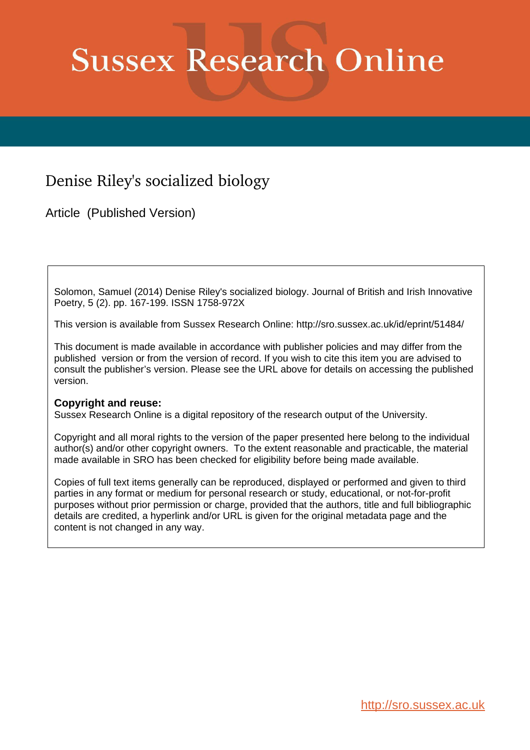# **Sussex Research Online**

# Denise Riley's socialized biology

Article (Published Version)

Solomon, Samuel (2014) Denise Riley's socialized biology. Journal of British and Irish Innovative Poetry, 5 (2). pp. 167-199. ISSN 1758-972X

This version is available from Sussex Research Online: http://sro.sussex.ac.uk/id/eprint/51484/

This document is made available in accordance with publisher policies and may differ from the published version or from the version of record. If you wish to cite this item you are advised to consult the publisher's version. Please see the URL above for details on accessing the published version.

### **Copyright and reuse:**

Sussex Research Online is a digital repository of the research output of the University.

Copyright and all moral rights to the version of the paper presented here belong to the individual author(s) and/or other copyright owners. To the extent reasonable and practicable, the material made available in SRO has been checked for eligibility before being made available.

Copies of full text items generally can be reproduced, displayed or performed and given to third parties in any format or medium for personal research or study, educational, or not-for-profit purposes without prior permission or charge, provided that the authors, title and full bibliographic details are credited, a hyperlink and/or URL is given for the original metadata page and the content is not changed in any way.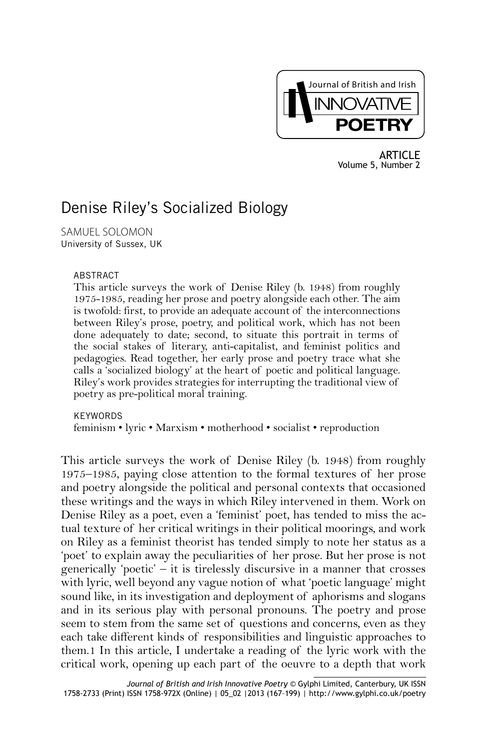

ARTICLE Volume 5, Number 2

## Denise Riley's Socialized Biology

SAMUEL SOLOMON University of Sussex, UK

#### ABSTRACT

This article surveys the work of Denise Riley (b. 1948) from roughly 1975-1985, reading her prose and poetry alongside each other. The aim is twofold: first, to provide an adequate account of the interconnections between Riley's prose, poetry, and political work, which has not been done adequately to date; second, to situate this portrait in terms of the social stakes of literary, anti-capitalist, and feminist politics and pedagogies. Read together, her early prose and poetry trace what she calls a 'socialized biology' at the heart of poetic and political language. Riley's work provides strategies for interrupting the traditional view of poetry as pre-political moral training.

KEYWORDS feminism • lyric • Marxism • motherhood • socialist • reproduction

This article surveys the work of Denise Riley (b. 1948) from roughly 1975–1985, paying close attention to the formal textures of her prose and poetry alongside the political and personal contexts that occasioned these writings and the ways in which Riley intervened in them. Work on Denise Riley as a poet, even a 'feminist' poet, has tended to miss the actual texture of her critical writings in their political moorings, and work on Riley as a feminist theorist has tended simply to note her status as a 'poet' to explain away the peculiarities of her prose. But her prose is not generically 'poetic' – it is tirelessly discursive in a manner that crosses with lyric, well beyond any vague notion of what 'poetic language' might sound like, in its investigation and deployment of aphorisms and slogans and in its serious play with personal pronouns. The poetry and prose seem to stem from the same set of questions and concerns, even as they each take different kinds of responsibilities and linguistic approaches to them.1 In this article, I undertake a reading of the lyric work with the critical work, opening up each part of the oeuvre to a depth that work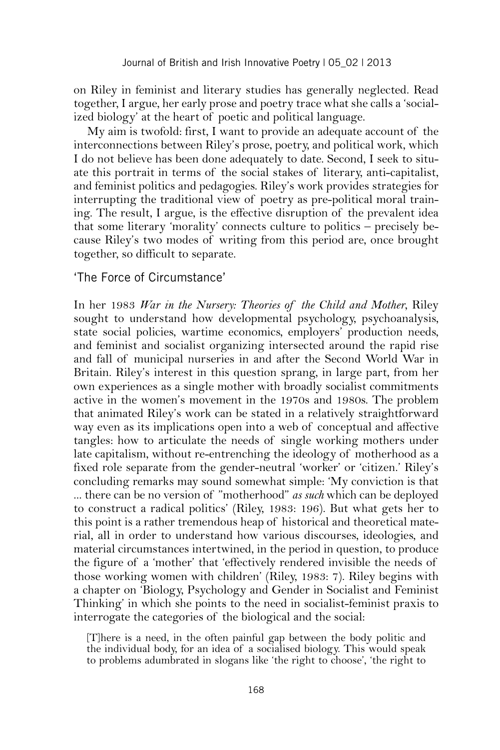on Riley in feminist and literary studies has generally neglected. Read together, I argue, her early prose and poetry trace what she calls a 'socialized biology' at the heart of poetic and political language.

My aim is twofold: first, I want to provide an adequate account of the interconnections between Riley's prose, poetry, and political work, which I do not believe has been done adequately to date. Second, I seek to situate this portrait in terms of the social stakes of literary, anti-capitalist, and feminist politics and pedagogies. Riley's work provides strategies for interrupting the traditional view of poetry as pre-political moral training. The result, I argue, is the effective disruption of the prevalent idea that some literary 'morality' connects culture to politics – precisely because Riley's two modes of writing from this period are, once brought together, so difficult to separate.

#### 'The Force of Circumstance'

In her 1983 *War in the Nursery: Theories of the Child and Mother*, Riley sought to understand how developmental psychology, psychoanalysis, state social policies, wartime economics, employers' production needs, and feminist and socialist organizing intersected around the rapid rise and fall of municipal nurseries in and after the Second World War in Britain. Riley's interest in this question sprang, in large part, from her own experiences as a single mother with broadly socialist commitments active in the women's movement in the 1970s and 1980s. The problem that animated Riley's work can be stated in a relatively straightforward way even as its implications open into a web of conceptual and affective tangles: how to articulate the needs of single working mothers under late capitalism, without re-entrenching the ideology of motherhood as a fixed role separate from the gender-neutral 'worker' or 'citizen.' Riley's concluding remarks may sound somewhat simple: 'My conviction is that ... there can be no version of "motherhood" *as such* which can be deployed to construct a radical politics' (Riley, 1983: 196). But what gets her to this point is a rather tremendous heap of historical and theoretical material, all in order to understand how various discourses, ideologies, and material circumstances intertwined, in the period in question, to produce the figure of a 'mother' that 'effectively rendered invisible the needs of those working women with children' (Riley, 1983: 7). Riley begins with a chapter on 'Biology, Psychology and Gender in Socialist and Feminist Thinking' in which she points to the need in socialist-feminist praxis to interrogate the categories of the biological and the social:

[T]here is a need, in the often painful gap between the body politic and the individual body, for an idea of a socialised biology. This would speak to problems adumbrated in slogans like 'the right to choose', 'the right to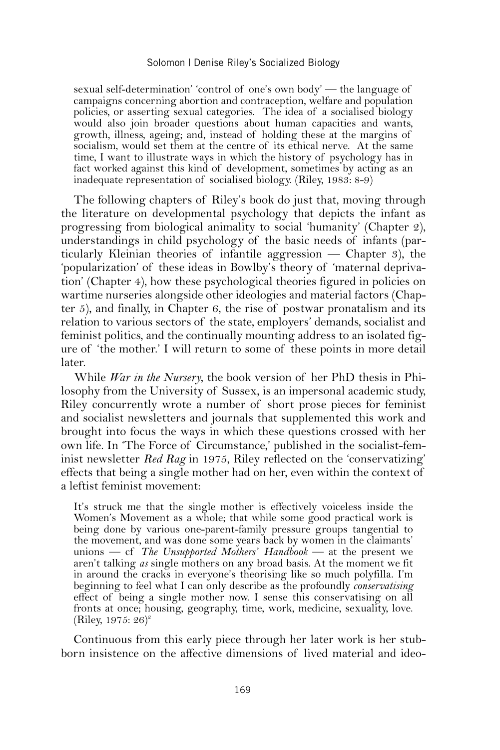#### Solomon | Denise Riley's Socialized Biology

sexual self-determination' 'control of one's own body' — the language of campaigns concerning abortion and contraception, welfare and population policies, or asserting sexual categories. The idea of a socialised biology would also join broader questions about human capacities and wants, growth, illness, ageing; and, instead of holding these at the margins of socialism, would set them at the centre of its ethical nerve. At the same time, I want to illustrate ways in which the history of psychology has in fact worked against this kind of development, sometimes by acting as an inadequate representation of socialised biology. (Riley, 1983: 8-9)

The following chapters of Riley's book do just that, moving through the literature on developmental psychology that depicts the infant as progressing from biological animality to social 'humanity' (Chapter 2), understandings in child psychology of the basic needs of infants (particularly Kleinian theories of infantile aggression — Chapter 3), the 'popularization' of these ideas in Bowlby's theory of 'maternal deprivation' (Chapter 4), how these psychological theories figured in policies on wartime nurseries alongside other ideologies and material factors (Chapter 5), and finally, in Chapter 6, the rise of postwar pronatalism and its relation to various sectors of the state, employers' demands, socialist and feminist politics, and the continually mounting address to an isolated figure of 'the mother.' I will return to some of these points in more detail later.

While *War in the Nursery*, the book version of her PhD thesis in Philosophy from the University of Sussex, is an impersonal academic study, Riley concurrently wrote a number of short prose pieces for feminist and socialist newsletters and journals that supplemented this work and brought into focus the ways in which these questions crossed with her own life. In 'The Force of Circumstance,' published in the socialist-feminist newsletter *Red Rag* in 1975, Riley reflected on the 'conservatizing' effects that being a single mother had on her, even within the context of a leftist feminist movement:

It's struck me that the single mother is effectively voiceless inside the Women's Movement as a whole; that while some good practical work is being done by various one-parent-family pressure groups tangential to the movement, and was done some years back by women in the claimants' unions — cf *The Unsupported Mothers' Handbook* — at the present we aren't talking *as* single mothers on any broad basis. At the moment we fit in around the cracks in everyone's theorising like so much polyfilla. I'm beginning to feel what I can only describe as the profoundly *conservatising* effect of being a single mother now. I sense this conservatising on all fronts at once; housing, geography, time, work, medicine, sexuality, love. (Riley, 1975:  $26$ )<sup>2</sup>

Continuous from this early piece through her later work is her stubborn insistence on the affective dimensions of lived material and ideo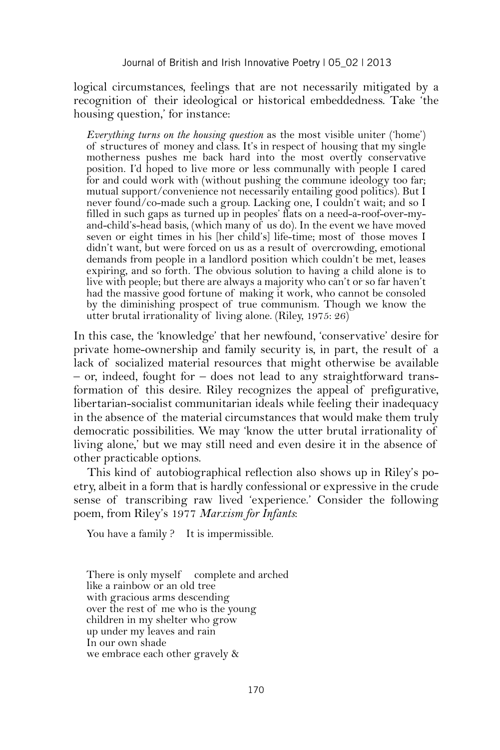logical circumstances, feelings that are not necessarily mitigated by a recognition of their ideological or historical embeddedness. Take 'the housing question,' for instance:

*Everything turns on the housing question* as the most visible uniter ('home') of structures of money and class. It's in respect of housing that my single motherness pushes me back hard into the most overtly conservative position. I'd hoped to live more or less communally with people I cared for and could work with (without pushing the commune ideology too far; mutual support/convenience not necessarily entailing good politics). But I never found/co-made such a group. Lacking one, I couldn't wait; and so I filled in such gaps as turned up in peoples' flats on a need-a-roof-over-myand-child's-head basis, (which many of us do). In the event we have moved seven or eight times in his [her child's] life-time; most of those moves I didn't want, but were forced on us as a result of overcrowding, emotional demands from people in a landlord position which couldn't be met, leases expiring, and so forth. The obvious solution to having a child alone is to live with people; but there are always a majority who can't or so far haven't had the massive good fortune of making it work, who cannot be consoled by the diminishing prospect of true communism. Though we know the utter brutal irrationality of living alone. (Riley, 1975: 26)

In this case, the 'knowledge' that her newfound, 'conservative' desire for private home-ownership and family security is, in part, the result of a lack of socialized material resources that might otherwise be available – or, indeed, fought for – does not lead to any straightforward transformation of this desire. Riley recognizes the appeal of prefigurative, libertarian-socialist communitarian ideals while feeling their inadequacy in the absence of the material circumstances that would make them truly democratic possibilities. We may 'know the utter brutal irrationality of living alone,' but we may still need and even desire it in the absence of other practicable options.

This kind of autobiographical reflection also shows up in Riley's poetry, albeit in a form that is hardly confessional or expressive in the crude sense of transcribing raw lived 'experience.' Consider the following poem, from Riley's 1977 *Marxism for Infants*:

You have a family ? It is impermissible.

There is only myself complete and arched like a rainbow or an old tree with gracious arms descending over the rest of me who is the young children in my shelter who grow up under my leaves and rain In our own shade we embrace each other gravely &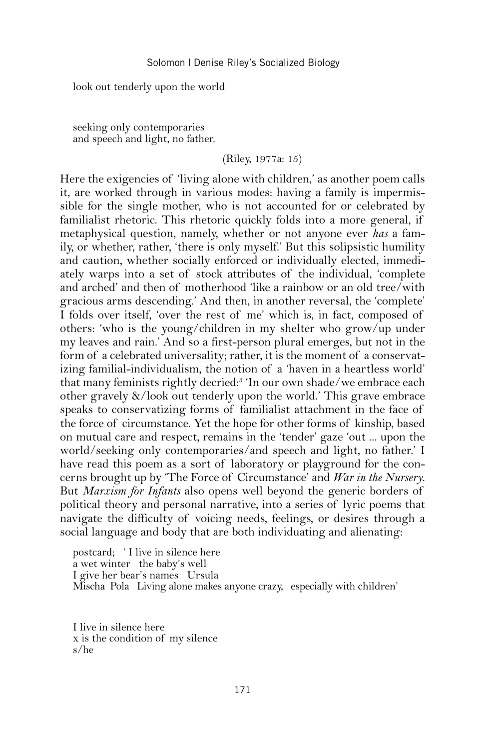look out tenderly upon the world

seeking only contemporaries and speech and light, no father.

#### (Riley, 1977a: 15)

Here the exigencies of 'living alone with children,' as another poem calls it, are worked through in various modes: having a family is impermissible for the single mother, who is not accounted for or celebrated by familialist rhetoric. This rhetoric quickly folds into a more general, if metaphysical question, namely, whether or not anyone ever *has* a family, or whether, rather, 'there is only myself.' But this solipsistic humility and caution, whether socially enforced or individually elected, immediately warps into a set of stock attributes of the individual, 'complete and arched' and then of motherhood 'like a rainbow or an old tree/with gracious arms descending.' And then, in another reversal, the 'complete' I folds over itself, 'over the rest of me' which is, in fact, composed of others: 'who is the young/children in my shelter who grow/up under my leaves and rain.' And so a first-person plural emerges, but not in the form of a celebrated universality; rather, it is the moment of a conservatizing familial-individualism, the notion of a 'haven in a heartless world' that many feminists rightly decried:<sup>3</sup> 'In our own shade/we embrace each other gravely &/look out tenderly upon the world.' This grave embrace speaks to conservatizing forms of familialist attachment in the face of the force of circumstance. Yet the hope for other forms of kinship, based on mutual care and respect, remains in the 'tender' gaze 'out ... upon the world/seeking only contemporaries/and speech and light, no father.' I have read this poem as a sort of laboratory or playground for the concerns brought up by 'The Force of Circumstance' and *War in the Nursery*. But *Marxism for Infants* also opens well beyond the generic borders of political theory and personal narrative, into a series of lyric poems that navigate the difficulty of voicing needs, feelings, or desires through a social language and body that are both individuating and alienating:

postcard; ' I live in silence here a wet winter the baby's well I give her bear's names Ursula Mischa Pola Living alone makes anyone crazy, especially with children'

I live in silence here x is the condition of my silence s/he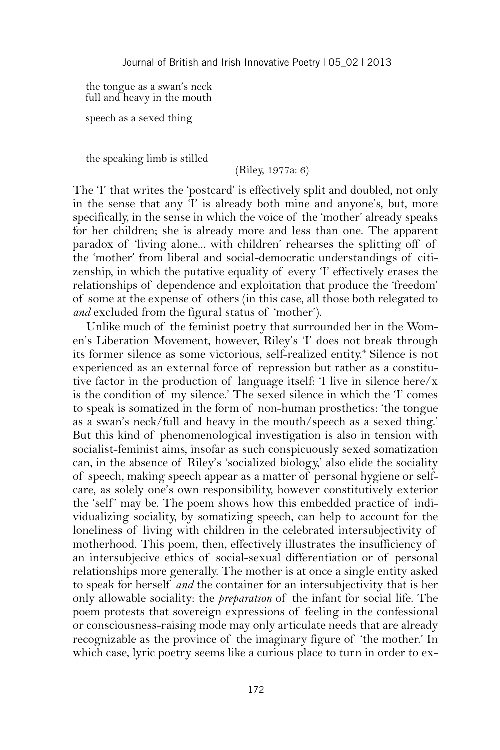the tongue as a swan's neck full and heavy in the mouth

speech as a sexed thing

the speaking limb is stilled

(Riley, 1977a: 6)

The 'I' that writes the 'postcard' is effectively split and doubled, not only in the sense that any 'I' is already both mine and anyone's, but, more specifically, in the sense in which the voice of the 'mother' already speaks for her children; she is already more and less than one. The apparent paradox of 'living alone... with children' rehearses the splitting off of the 'mother' from liberal and social-democratic understandings of citizenship, in which the putative equality of every 'I' effectively erases the relationships of dependence and exploitation that produce the 'freedom' of some at the expense of others (in this case, all those both relegated to *and* excluded from the figural status of 'mother').

Unlike much of the feminist poetry that surrounded her in the Women's Liberation Movement, however, Riley's 'I' does not break through its former silence as some victorious, self-realized entity.<sup>4</sup> Silence is not experienced as an external force of repression but rather as a constitutive factor in the production of language itself: 'I live in silence here/x is the condition of my silence.' The sexed silence in which the 'I' comes to speak is somatized in the form of non-human prosthetics: 'the tongue as a swan's neck/full and heavy in the mouth/speech as a sexed thing.' But this kind of phenomenological investigation is also in tension with socialist-feminist aims, insofar as such conspicuously sexed somatization can, in the absence of Riley's 'socialized biology,' also elide the sociality of speech, making speech appear as a matter of personal hygiene or selfcare, as solely one's own responsibility, however constitutively exterior the 'self' may be. The poem shows how this embedded practice of individualizing sociality, by somatizing speech, can help to account for the loneliness of living with children in the celebrated intersubjectivity of motherhood. This poem, then, effectively illustrates the insufficiency of an intersubjecive ethics of social-sexual differentiation or of personal relationships more generally. The mother is at once a single entity asked to speak for herself *and* the container for an intersubjectivity that is her only allowable sociality: the *preparation* of the infant for social life. The poem protests that sovereign expressions of feeling in the confessional or consciousness-raising mode may only articulate needs that are already recognizable as the province of the imaginary figure of 'the mother.' In which case, lyric poetry seems like a curious place to turn in order to ex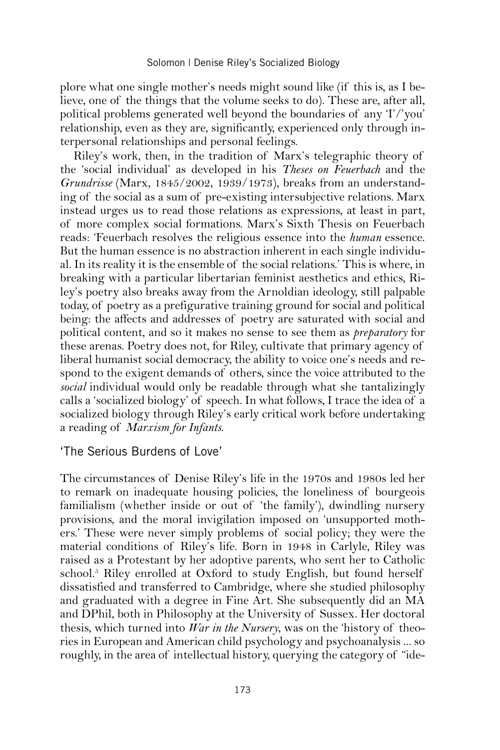plore what one single mother's needs might sound like (if this is, as I believe, one of the things that the volume seeks to do). These are, after all, political problems generated well beyond the boundaries of any 'I'/'you' relationship, even as they are, significantly, experienced only through interpersonal relationships and personal feelings.

Riley's work, then, in the tradition of Marx's telegraphic theory of the 'social individual' as developed in his *Theses on Feuerbach* and the *Grundrisse* (Marx, 1845/2002, 1939/1973), breaks from an understanding of the social as a sum of pre-existing intersubjective relations. Marx instead urges us to read those relations as expressions, at least in part, of more complex social formations. Marx's Sixth Thesis on Feuerbach reads: 'Feuerbach resolves the religious essence into the *human* essence. But the human essence is no abstraction inherent in each single individual. In its reality it is the ensemble of the social relations.' This is where, in breaking with a particular libertarian feminist aesthetics and ethics, Riley's poetry also breaks away from the Arnoldian ideology, still palpable today, of poetry as a prefigurative training ground for social and political being: the affects and addresses of poetry are saturated with social and political content, and so it makes no sense to see them as *preparatory* for these arenas. Poetry does not, for Riley, cultivate that primary agency of liberal humanist social democracy, the ability to voice one's needs and respond to the exigent demands of others, since the voice attributed to the *social* individual would only be readable through what she tantalizingly calls a 'socialized biology' of speech. In what follows, I trace the idea of a socialized biology through Riley's early critical work before undertaking a reading of *Marxism for Infants*.

#### 'The Serious Burdens of Love'

The circumstances of Denise Riley's life in the 1970s and 1980s led her to remark on inadequate housing policies, the loneliness of bourgeois familialism (whether inside or out of 'the family'), dwindling nursery provisions, and the moral invigilation imposed on 'unsupported mothers.' These were never simply problems of social policy; they were the material conditions of Riley's life. Born in 1948 in Carlyle, Riley was raised as a Protestant by her adoptive parents, who sent her to Catholic school.<sup>5</sup> Riley enrolled at Oxford to study English, but found herself dissatisfied and transferred to Cambridge, where she studied philosophy and graduated with a degree in Fine Art. She subsequently did an MA and DPhil, both in Philosophy at the University of Sussex. Her doctoral thesis, which turned into *War in the Nursery*, was on the 'history of theories in European and American child psychology and psychoanalysis ... so roughly, in the area of intellectual history, querying the category of "ide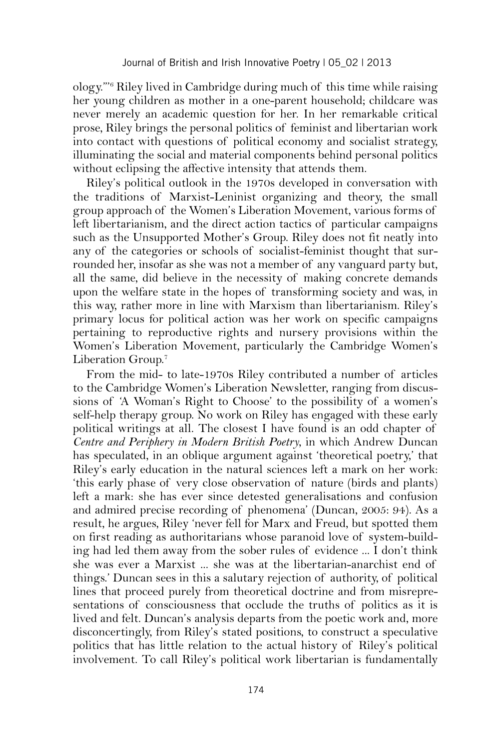ology."'6 Riley lived in Cambridge during much of this time while raising her young children as mother in a one-parent household; childcare was never merely an academic question for her. In her remarkable critical prose, Riley brings the personal politics of feminist and libertarian work into contact with questions of political economy and socialist strategy, illuminating the social and material components behind personal politics without eclipsing the affective intensity that attends them.

Riley's political outlook in the 1970s developed in conversation with the traditions of Marxist-Leninist organizing and theory, the small group approach of the Women's Liberation Movement, various forms of left libertarianism, and the direct action tactics of particular campaigns such as the Unsupported Mother's Group. Riley does not fit neatly into any of the categories or schools of socialist-feminist thought that surrounded her, insofar as she was not a member of any vanguard party but, all the same, did believe in the necessity of making concrete demands upon the welfare state in the hopes of transforming society and was, in this way, rather more in line with Marxism than libertarianism. Riley's primary locus for political action was her work on specific campaigns pertaining to reproductive rights and nursery provisions within the Women's Liberation Movement, particularly the Cambridge Women's Liberation Group.7

From the mid- to late-1970s Riley contributed a number of articles to the Cambridge Women's Liberation Newsletter, ranging from discussions of 'A Woman's Right to Choose' to the possibility of a women's self-help therapy group. No work on Riley has engaged with these early political writings at all. The closest I have found is an odd chapter of *Centre and Periphery in Modern British Poetry*, in which Andrew Duncan has speculated, in an oblique argument against 'theoretical poetry,' that Riley's early education in the natural sciences left a mark on her work: 'this early phase of very close observation of nature (birds and plants) left a mark: she has ever since detested generalisations and confusion and admired precise recording of phenomena' (Duncan, 2005: 94). As a result, he argues, Riley 'never fell for Marx and Freud, but spotted them on first reading as authoritarians whose paranoid love of system-building had led them away from the sober rules of evidence ... I don't think she was ever a Marxist ... she was at the libertarian-anarchist end of things.' Duncan sees in this a salutary rejection of authority, of political lines that proceed purely from theoretical doctrine and from misrepresentations of consciousness that occlude the truths of politics as it is lived and felt. Duncan's analysis departs from the poetic work and, more disconcertingly, from Riley's stated positions, to construct a speculative politics that has little relation to the actual history of Riley's political involvement. To call Riley's political work libertarian is fundamentally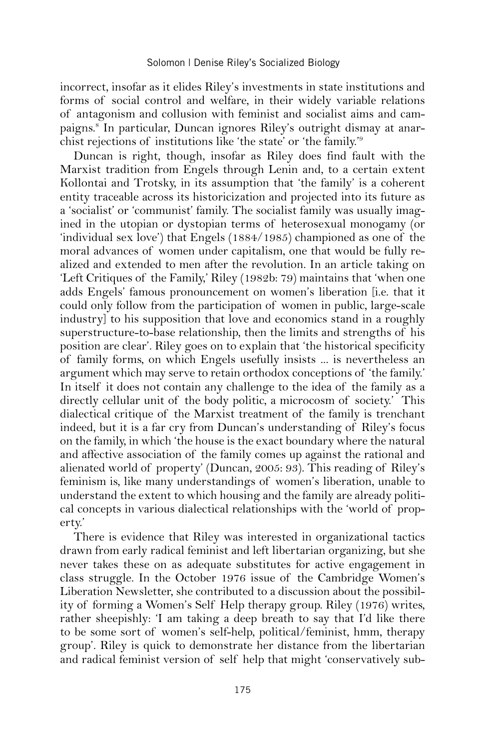incorrect, insofar as it elides Riley's investments in state institutions and forms of social control and welfare, in their widely variable relations of antagonism and collusion with feminist and socialist aims and campaigns.8 In particular, Duncan ignores Riley's outright dismay at anarchist rejections of institutions like 'the state' or 'the family.'9

Duncan is right, though, insofar as Riley does find fault with the Marxist tradition from Engels through Lenin and, to a certain extent Kollontai and Trotsky, in its assumption that 'the family' is a coherent entity traceable across its historicization and projected into its future as a 'socialist' or 'communist' family. The socialist family was usually imagined in the utopian or dystopian terms of heterosexual monogamy (or 'individual sex love') that Engels (1884/1985) championed as one of the moral advances of women under capitalism, one that would be fully realized and extended to men after the revolution. In an article taking on 'Left Critiques of the Family,' Riley (1982b: 79) maintains that 'when one adds Engels' famous pronouncement on women's liberation [i.e. that it could only follow from the participation of women in public, large-scale industry] to his supposition that love and economics stand in a roughly superstructure-to-base relationship, then the limits and strengths of his position are clear'. Riley goes on to explain that 'the historical specificity of family forms, on which Engels usefully insists ... is nevertheless an argument which may serve to retain orthodox conceptions of 'the family.' In itself it does not contain any challenge to the idea of the family as a directly cellular unit of the body politic, a microcosm of society.' This dialectical critique of the Marxist treatment of the family is trenchant indeed, but it is a far cry from Duncan's understanding of Riley's focus on the family, in which 'the house is the exact boundary where the natural and affective association of the family comes up against the rational and alienated world of property' (Duncan, 2005: 93). This reading of Riley's feminism is, like many understandings of women's liberation, unable to understand the extent to which housing and the family are already political concepts in various dialectical relationships with the 'world of property.'

There is evidence that Riley was interested in organizational tactics drawn from early radical feminist and left libertarian organizing, but she never takes these on as adequate substitutes for active engagement in class struggle. In the October 1976 issue of the Cambridge Women's Liberation Newsletter, she contributed to a discussion about the possibility of forming a Women's Self Help therapy group. Riley (1976) writes, rather sheepishly: 'I am taking a deep breath to say that I'd like there to be some sort of women's self-help, political/feminist, hmm, therapy group'. Riley is quick to demonstrate her distance from the libertarian and radical feminist version of self help that might 'conservatively sub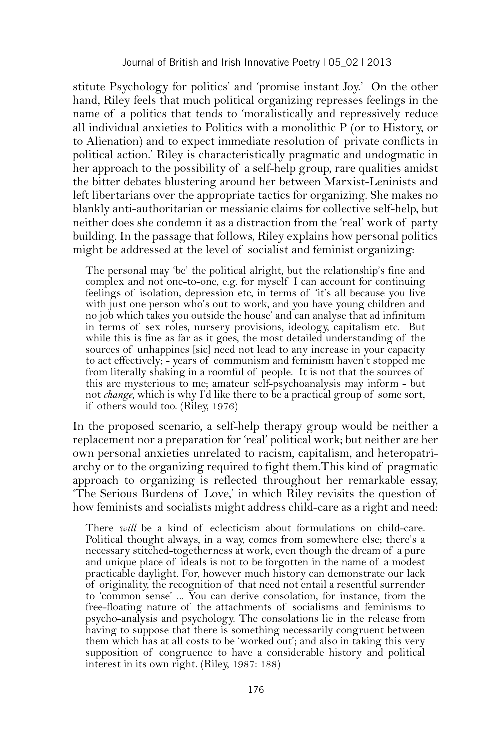stitute Psychology for politics' and 'promise instant Joy.' On the other hand, Riley feels that much political organizing represses feelings in the name of a politics that tends to 'moralistically and repressively reduce all individual anxieties to Politics with a monolithic P (or to History, or to Alienation) and to expect immediate resolution of private conflicts in political action.' Riley is characteristically pragmatic and undogmatic in her approach to the possibility of a self-help group, rare qualities amidst the bitter debates blustering around her between Marxist-Leninists and left libertarians over the appropriate tactics for organizing. She makes no blankly anti-authoritarian or messianic claims for collective self-help, but neither does she condemn it as a distraction from the 'real' work of party building. In the passage that follows, Riley explains how personal politics might be addressed at the level of socialist and feminist organizing:

The personal may 'be' the political alright, but the relationship's fine and complex and not one-to-one, e.g. for myself I can account for continuing feelings of isolation, depression etc, in terms of 'it's all because you live with just one person who's out to work, and you have young children and no job which takes you outside the house' and can analyse that ad infinitum in terms of sex roles, nursery provisions, ideology, capitalism etc. But while this is fine as far as it goes, the most detailed understanding of the sources of unhappines [sic] need not lead to any increase in your capacity to act effectively; - years of communism and feminism haven't stopped me from literally shaking in a roomful of people. It is not that the sources of this are mysterious to me; amateur self-psychoanalysis may inform - but not *change*, which is why I'd like there to be a practical group of some sort, if others would too. (Riley, 1976)

In the proposed scenario, a self-help therapy group would be neither a replacement nor a preparation for 'real' political work; but neither are her own personal anxieties unrelated to racism, capitalism, and heteropatriarchy or to the organizing required to fight them.This kind of pragmatic approach to organizing is reflected throughout her remarkable essay, 'The Serious Burdens of Love,' in which Riley revisits the question of how feminists and socialists might address child-care as a right and need:

There *will* be a kind of eclecticism about formulations on child-care. Political thought always, in a way, comes from somewhere else; there's a necessary stitched-togetherness at work, even though the dream of a pure and unique place of ideals is not to be forgotten in the name of a modest practicable daylight. For, however much history can demonstrate our lack of originality, the recognition of that need not entail a resentful surrender to 'common sense' ... You can derive consolation, for instance, from the free-floating nature of the attachments of socialisms and feminisms to psycho-analysis and psychology. The consolations lie in the release from having to suppose that there is something necessarily congruent between them which has at all costs to be 'worked out'; and also in taking this very supposition of congruence to have a considerable history and political interest in its own right. (Riley, 1987: 188)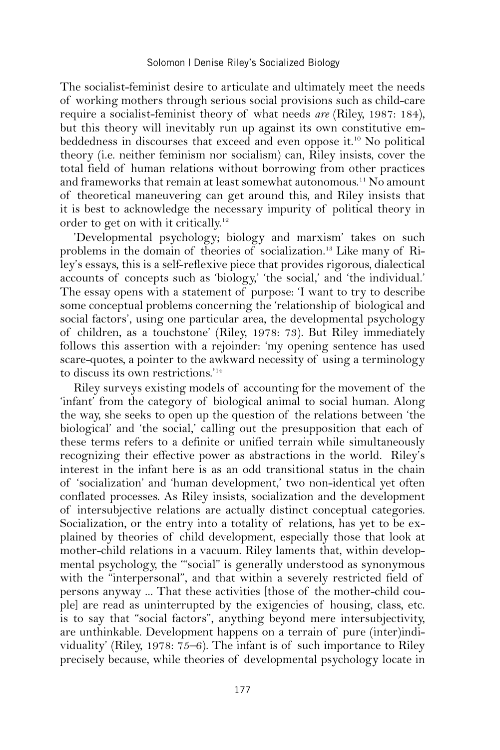The socialist-feminist desire to articulate and ultimately meet the needs of working mothers through serious social provisions such as child-care require a socialist-feminist theory of what needs *are* (Riley, 1987: 184), but this theory will inevitably run up against its own constitutive embeddedness in discourses that exceed and even oppose it.10 No political theory (i.e. neither feminism nor socialism) can, Riley insists, cover the total field of human relations without borrowing from other practices and frameworks that remain at least somewhat autonomous.11 No amount of theoretical maneuvering can get around this, and Riley insists that it is best to acknowledge the necessary impurity of political theory in order to get on with it critically.<sup>12</sup>

'Developmental psychology; biology and marxism' takes on such problems in the domain of theories of socialization.<sup>13</sup> Like many of Riley's essays, this is a self-reflexive piece that provides rigorous, dialectical accounts of concepts such as 'biology,' 'the social,' and 'the individual.' The essay opens with a statement of purpose: 'I want to try to describe some conceptual problems concerning the 'relationship of biological and social factors', using one particular area, the developmental psychology of children, as a touchstone' (Riley, 1978: 73). But Riley immediately follows this assertion with a rejoinder: 'my opening sentence has used scare-quotes, a pointer to the awkward necessity of using a terminology to discuss its own restrictions.'14

Riley surveys existing models of accounting for the movement of the 'infant' from the category of biological animal to social human. Along the way, she seeks to open up the question of the relations between 'the biological' and 'the social,' calling out the presupposition that each of these terms refers to a definite or unified terrain while simultaneously recognizing their effective power as abstractions in the world. Riley's interest in the infant here is as an odd transitional status in the chain of 'socialization' and 'human development,' two non-identical yet often conflated processes. As Riley insists, socialization and the development of intersubjective relations are actually distinct conceptual categories. Socialization, or the entry into a totality of relations, has yet to be explained by theories of child development, especially those that look at mother-child relations in a vacuum. Riley laments that, within developmental psychology, the '"social" is generally understood as synonymous with the "interpersonal", and that within a severely restricted field of persons anyway ... That these activities [those of the mother-child couple] are read as uninterrupted by the exigencies of housing, class, etc. is to say that "social factors", anything beyond mere intersubjectivity, are unthinkable. Development happens on a terrain of pure (inter)individuality' (Riley, 1978: 75–6). The infant is of such importance to Riley precisely because, while theories of developmental psychology locate in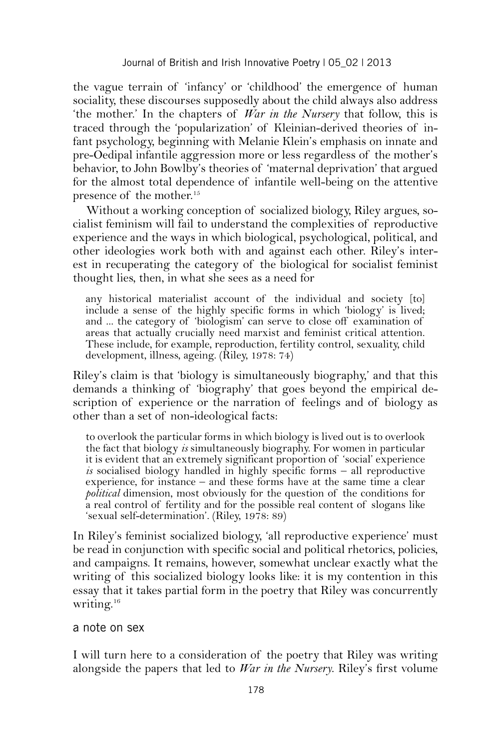the vague terrain of 'infancy' or 'childhood' the emergence of human sociality, these discourses supposedly about the child always also address 'the mother.' In the chapters of *War in the Nursery* that follow, this is traced through the 'popularization' of Kleinian-derived theories of infant psychology, beginning with Melanie Klein's emphasis on innate and pre-Oedipal infantile aggression more or less regardless of the mother's behavior, to John Bowlby's theories of 'maternal deprivation' that argued for the almost total dependence of infantile well-being on the attentive presence of the mother.15

Without a working conception of socialized biology, Riley argues, socialist feminism will fail to understand the complexities of reproductive experience and the ways in which biological, psychological, political, and other ideologies work both with and against each other. Riley's interest in recuperating the category of the biological for socialist feminist thought lies, then, in what she sees as a need for

any historical materialist account of the individual and society [to] include a sense of the highly specific forms in which 'biology' is lived; and ... the category of 'biologism' can serve to close off examination of areas that actually crucially need marxist and feminist critical attention. These include, for example, reproduction, fertility control, sexuality, child development, illness, ageing. (Riley, 1978: 74)

Riley's claim is that 'biology is simultaneously biography,' and that this demands a thinking of 'biography' that goes beyond the empirical description of experience or the narration of feelings and of biology as other than a set of non-ideological facts:

to overlook the particular forms in which biology is lived out is to overlook the fact that biology *is* simultaneously biography. For women in particular it is evident that an extremely significant proportion of 'social' experience *is* socialised biology handled in highly specific forms – all reproductive experience, for instance – and these forms have at the same time a clear *political* dimension, most obviously for the question of the conditions for a real control of fertility and for the possible real content of slogans like 'sexual self-determination'. (Riley, 1978: 89)

In Riley's feminist socialized biology, 'all reproductive experience' must be read in conjunction with specific social and political rhetorics, policies, and campaigns. It remains, however, somewhat unclear exactly what the writing of this socialized biology looks like: it is my contention in this essay that it takes partial form in the poetry that Riley was concurrently writing.<sup>16</sup>

#### a note on sex

I will turn here to a consideration of the poetry that Riley was writing alongside the papers that led to *War in the Nursery*. Riley's first volume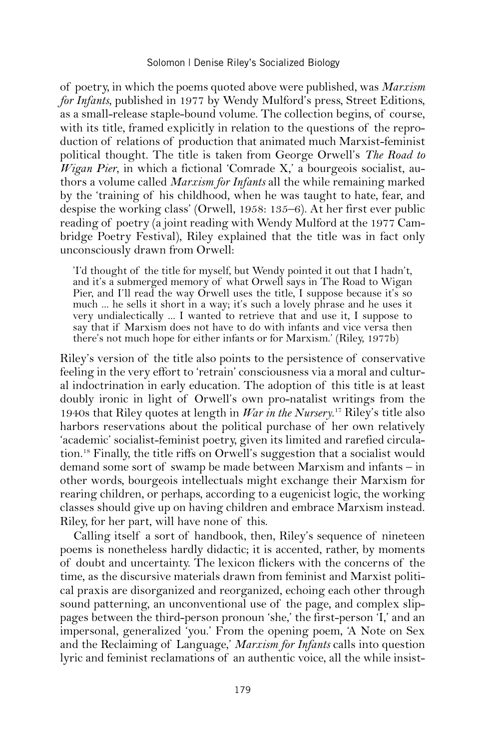of poetry, in which the poems quoted above were published, was *Marxism for Infants*, published in 1977 by Wendy Mulford's press, Street Editions, as a small-release staple-bound volume. The collection begins, of course, with its title, framed explicitly in relation to the questions of the reproduction of relations of production that animated much Marxist-feminist political thought. The title is taken from George Orwell's *The Road to Wigan Pier*, in which a fictional 'Comrade X,' a bourgeois socialist, authors a volume called *Marxism for Infants* all the while remaining marked by the 'training of his childhood, when he was taught to hate, fear, and despise the working class' (Orwell, 1958: 135–6). At her first ever public reading of poetry (a joint reading with Wendy Mulford at the 1977 Cambridge Poetry Festival), Riley explained that the title was in fact only unconsciously drawn from Orwell:

'I'd thought of the title for myself, but Wendy pointed it out that I hadn't, and it's a submerged memory of what Orwell says in The Road to Wigan Pier, and I'll read the way Orwell uses the title, I suppose because it's so much ... he sells it short in a way; it's such a lovely phrase and he uses it very undialectically ... I wanted to retrieve that and use it, I suppose to say that if Marxism does not have to do with infants and vice versa then there's not much hope for either infants or for Marxism.' (Riley, 1977b)

Riley's version of the title also points to the persistence of conservative feeling in the very effort to 'retrain' consciousness via a moral and cultural indoctrination in early education. The adoption of this title is at least doubly ironic in light of Orwell's own pro-natalist writings from the 1940s that Riley quotes at length in *War in the Nursery*. 17 Riley's title also harbors reservations about the political purchase of her own relatively 'academic' socialist-feminist poetry, given its limited and rarefied circulation.18 Finally, the title riffs on Orwell's suggestion that a socialist would demand some sort of swamp be made between Marxism and infants – in other words, bourgeois intellectuals might exchange their Marxism for rearing children, or perhaps, according to a eugenicist logic, the working classes should give up on having children and embrace Marxism instead. Riley, for her part, will have none of this.

Calling itself a sort of handbook, then, Riley's sequence of nineteen poems is nonetheless hardly didactic; it is accented, rather, by moments of doubt and uncertainty. The lexicon flickers with the concerns of the time, as the discursive materials drawn from feminist and Marxist political praxis are disorganized and reorganized, echoing each other through sound patterning, an unconventional use of the page, and complex slippages between the third-person pronoun 'she,' the first-person 'I,' and an impersonal, generalized 'you.' From the opening poem, 'A Note on Sex and the Reclaiming of Language,' *Marxism for Infants* calls into question lyric and feminist reclamations of an authentic voice, all the while insist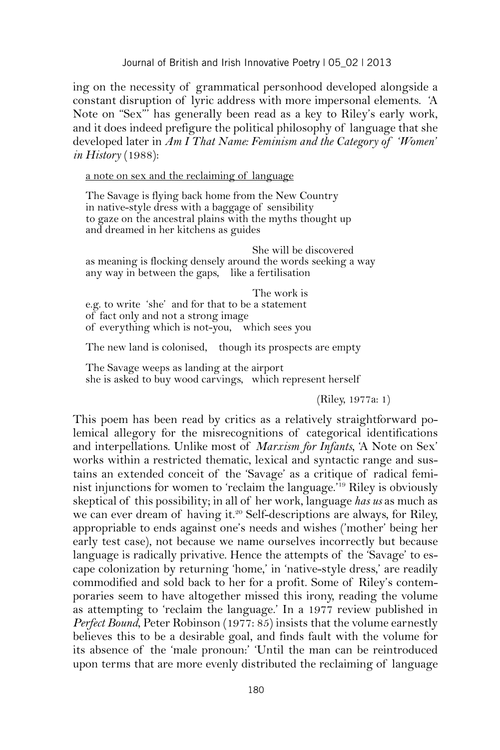Journal of British and Irish Innovative Poetry | 05\_02 | 2013

ing on the necessity of grammatical personhood developed alongside a constant disruption of lyric address with more impersonal elements. 'A Note on "Sex"' has generally been read as a key to Riley's early work, and it does indeed prefigure the political philosophy of language that she developed later in *Am I That Name: Feminism and the Category of 'Women' in History* (1988):

a note on sex and the reclaiming of language

The Savage is flying back home from the New Country in native-style dress with a baggage of sensibility to gaze on the ancestral plains with the myths thought up and dreamed in her kitchens as guides

 She will be discovered as meaning is flocking densely around the words seeking a way any way in between the gaps, like a fertilisation

 The work is e.g. to write 'she' and for that to be a statement of fact only and not a strong image of everything which is not-you, which sees you

The new land is colonised, though its prospects are empty

The Savage weeps as landing at the airport she is asked to buy wood carvings, which represent herself

(Riley, 1977a: 1)

This poem has been read by critics as a relatively straightforward polemical allegory for the misrecognitions of categorical identifications and interpellations. Unlike most of *Marxism for Infants*, 'A Note on Sex' works within a restricted thematic, lexical and syntactic range and sustains an extended conceit of the 'Savage' as a critique of radical feminist injunctions for women to 'reclaim the language.'19 Riley is obviously skeptical of this possibility; in all of her work, language *has us* as much as we can ever dream of having it.<sup>20</sup> Self-descriptions are always, for Riley, appropriable to ends against one's needs and wishes ('mother' being her early test case), not because we name ourselves incorrectly but because language is radically privative. Hence the attempts of the 'Savage' to escape colonization by returning 'home,' in 'native-style dress,' are readily commodified and sold back to her for a profit. Some of Riley's contemporaries seem to have altogether missed this irony, reading the volume as attempting to 'reclaim the language.' In a 1977 review published in *Perfect Bound*, Peter Robinson (1977: 85) insists that the volume earnestly believes this to be a desirable goal, and finds fault with the volume for its absence of the 'male pronoun:' 'Until the man can be reintroduced upon terms that are more evenly distributed the reclaiming of language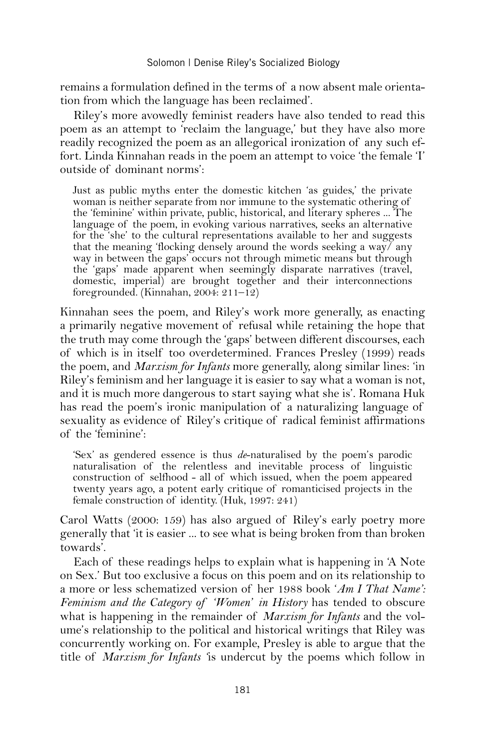remains a formulation defined in the terms of a now absent male orientation from which the language has been reclaimed'.

Riley's more avowedly feminist readers have also tended to read this poem as an attempt to 'reclaim the language,' but they have also more readily recognized the poem as an allegorical ironization of any such effort. Linda Kinnahan reads in the poem an attempt to voice 'the female 'I' outside of dominant norms':

Just as public myths enter the domestic kitchen 'as guides,' the private woman is neither separate from nor immune to the systematic othering of the 'feminine' within private, public, historical, and literary spheres ... The language of the poem, in evoking various narratives, seeks an alternative for the 'she' to the cultural representations available to her and suggests that the meaning 'flocking densely around the words seeking a way  $\frac{1}{2}$  any way in between the gaps' occurs not through mimetic means but through the 'gaps' made apparent when seemingly disparate narratives (travel, domestic, imperial) are brought together and their interconnections foregrounded. (Kinnahan, 2004: 211–12)

Kinnahan sees the poem, and Riley's work more generally, as enacting a primarily negative movement of refusal while retaining the hope that the truth may come through the 'gaps' between different discourses, each of which is in itself too overdetermined. Frances Presley (1999) reads the poem, and *Marxism for Infants* more generally, along similar lines: 'in Riley's feminism and her language it is easier to say what a woman is not, and it is much more dangerous to start saying what she is'. Romana Huk has read the poem's ironic manipulation of a naturalizing language of sexuality as evidence of Riley's critique of radical feminist affirmations of the 'feminine':

'Sex' as gendered essence is thus *de*-naturalised by the poem's parodic naturalisation of the relentless and inevitable process of linguistic construction of selfhood - all of which issued, when the poem appeared twenty years ago, a potent early critique of romanticised projects in the female construction of identity. (Huk, 1997: 241)

Carol Watts (2000: 159) has also argued of Riley's early poetry more generally that 'it is easier ... to see what is being broken from than broken towards'.

Each of these readings helps to explain what is happening in 'A Note on Sex.' But too exclusive a focus on this poem and on its relationship to a more or less schematized version of her 1988 book '*Am I That Name': Feminism and the Category of 'Women' in History* has tended to obscure what is happening in the remainder of *Marxism for Infants* and the volume's relationship to the political and historical writings that Riley was concurrently working on. For example, Presley is able to argue that the title of *Marxism for Infants '*is undercut by the poems which follow in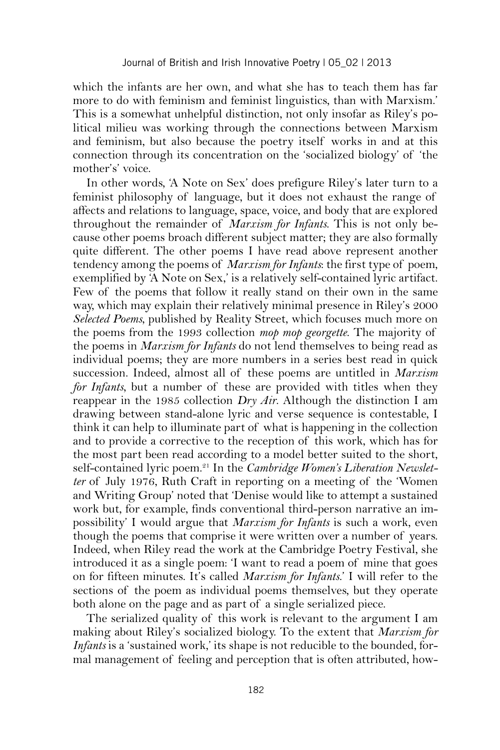which the infants are her own, and what she has to teach them has far more to do with feminism and feminist linguistics, than with Marxism.' This is a somewhat unhelpful distinction, not only insofar as Riley's political milieu was working through the connections between Marxism and feminism, but also because the poetry itself works in and at this connection through its concentration on the 'socialized biology' of 'the mother's' voice.

In other words, 'A Note on Sex' does prefigure Riley's later turn to a feminist philosophy of language, but it does not exhaust the range of affects and relations to language, space, voice, and body that are explored throughout the remainder of *Marxism for Infants*. This is not only because other poems broach different subject matter; they are also formally quite different. The other poems I have read above represent another tendency among the poems of *Marxism for Infants*: the first type of poem, exemplified by 'A Note on Sex,' is a relatively self-contained lyric artifact. Few of the poems that follow it really stand on their own in the same way, which may explain their relatively minimal presence in Riley's 2000 *Selected Poems*, published by Reality Street, which focuses much more on the poems from the 1993 collection *mop mop georgette*. The majority of the poems in *Marxism for Infants* do not lend themselves to being read as individual poems; they are more numbers in a series best read in quick succession. Indeed, almost all of these poems are untitled in *Marxism for Infants*, but a number of these are provided with titles when they reappear in the 1985 collection *Dry Air*. Although the distinction I am drawing between stand-alone lyric and verse sequence is contestable, I think it can help to illuminate part of what is happening in the collection and to provide a corrective to the reception of this work, which has for the most part been read according to a model better suited to the short, self-contained lyric poem.<sup>21</sup> In the *Cambridge Women's Liberation Newsletter* of July 1976, Ruth Craft in reporting on a meeting of the 'Women and Writing Group' noted that 'Denise would like to attempt a sustained work but, for example, finds conventional third-person narrative an impossibility' I would argue that *Marxism for Infants* is such a work, even though the poems that comprise it were written over a number of years. Indeed, when Riley read the work at the Cambridge Poetry Festival, she introduced it as a single poem: 'I want to read a poem of mine that goes on for fifteen minutes. It's called *Marxism for Infants*.' I will refer to the sections of the poem as individual poems themselves, but they operate both alone on the page and as part of a single serialized piece.

The serialized quality of this work is relevant to the argument I am making about Riley's socialized biology. To the extent that *Marxism for Infants* is a 'sustained work,' its shape is not reducible to the bounded, formal management of feeling and perception that is often attributed, how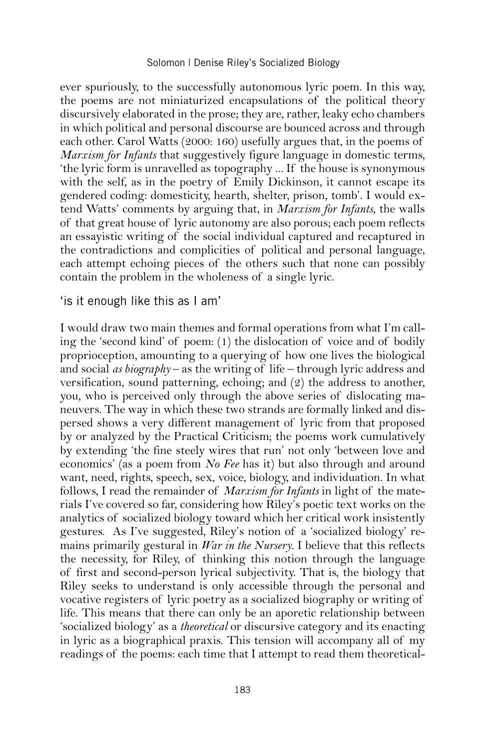ever spuriously, to the successfully autonomous lyric poem. In this way, the poems are not miniaturized encapsulations of the political theory discursively elaborated in the prose; they are, rather, leaky echo chambers in which political and personal discourse are bounced across and through each other. Carol Watts (2000: 160) usefully argues that, in the poems of *Marxism for Infants* that suggestively figure language in domestic terms, 'the lyric form is unravelled as topography ... If the house is synonymous with the self, as in the poetry of Emily Dickinson, it cannot escape its gendered coding: domesticity, hearth, shelter, prison, tomb'. I would extend Watts' comments by arguing that, in *Marxism for Infants*, the walls of that great house of lyric autonomy are also porous; each poem reflects an essayistic writing of the social individual captured and recaptured in the contradictions and complicities of political and personal language, each attempt echoing pieces of the others such that none can possibly contain the problem in the wholeness of a single lyric.

'is it enough like this as I am'

I would draw two main themes and formal operations from what I'm calling the 'second kind' of poem: (1) the dislocation of voice and of bodily proprioception, amounting to a querying of how one lives the biological and social *as biography* – as the writing of life – through lyric address and versification, sound patterning, echoing; and (2) the address to another, you, who is perceived only through the above series of dislocating maneuvers. The way in which these two strands are formally linked and dispersed shows a very different management of lyric from that proposed by or analyzed by the Practical Criticism; the poems work cumulatively by extending 'the fine steely wires that run' not only 'between love and economics' (as a poem from *No Fee* has it) but also through and around want, need, rights, speech, sex, voice, biology, and individuation. In what follows, I read the remainder of *Marxism for Infants* in light of the materials I've covered so far, considering how Riley's poetic text works on the analytics of socialized biology toward which her critical work insistently gestures. As I've suggested, Riley's notion of a 'socialized biology' remains primarily gestural in *War in the Nursery*. I believe that this reflects the necessity, for Riley, of thinking this notion through the language of first and second-person lyrical subjectivity. That is, the biology that Riley seeks to understand is only accessible through the personal and vocative registers of lyric poetry as a socialized biography or writing of life. This means that there can only be an aporetic relationship between 'socialized biology' as a *theoretical* or discursive category and its enacting in lyric as a biographical praxis. This tension will accompany all of my readings of the poems: each time that I attempt to read them theoretical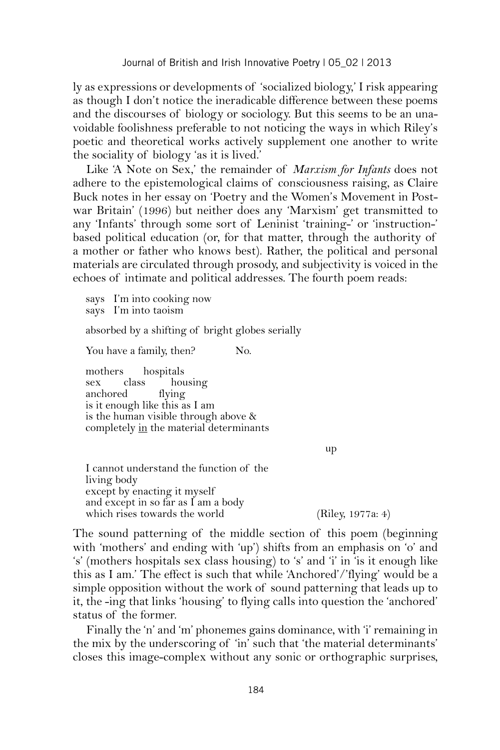ly as expressions or developments of 'socialized biology,' I risk appearing as though I don't notice the ineradicable difference between these poems and the discourses of biology or sociology. But this seems to be an unavoidable foolishness preferable to not noticing the ways in which Riley's poetic and theoretical works actively supplement one another to write the sociality of biology 'as it is lived.'

Like 'A Note on Sex,' the remainder of *Marxism for Infants* does not adhere to the epistemological claims of consciousness raising, as Claire Buck notes in her essay on 'Poetry and the Women's Movement in Postwar Britain' (1996) but neither does any 'Marxism' get transmitted to any 'Infants' through some sort of Leninist 'training-' or 'instruction-' based political education (or, for that matter, through the authority of a mother or father who knows best). Rather, the political and personal materials are circulated through prosody, and subjectivity is voiced in the echoes of intimate and political addresses. The fourth poem reads:

says I'm into cooking now says I'm into taoism

absorbed by a shifting of bright globes serially

You have a family, then? No.

mothers hospitals<br>sex class hours sex class housing<br>anchored flying anchored is it enough like this as I am is the human visible through above & completely  $\underline{\text{in}}$  the material determinants

up and the contract of the contract of the contract of the contract of the contract of the contract of the con

I cannot understand the function of the living body except by enacting it myself and except in so far as I am a body which rises towards the world (Riley, 1977a: 4)

The sound patterning of the middle section of this poem (beginning with 'mothers' and ending with 'up') shifts from an emphasis on 'o' and 's' (mothers hospitals sex class housing) to 's' and 'i' in 'is it enough like this as I am.' The effect is such that while 'Anchored'/'flying' would be a simple opposition without the work of sound patterning that leads up to it, the -ing that links 'housing' to flying calls into question the 'anchored' status of the former.

Finally the 'n' and 'm' phonemes gains dominance, with 'i' remaining in the mix by the underscoring of 'in' such that 'the material determinants' closes this image-complex without any sonic or orthographic surprises,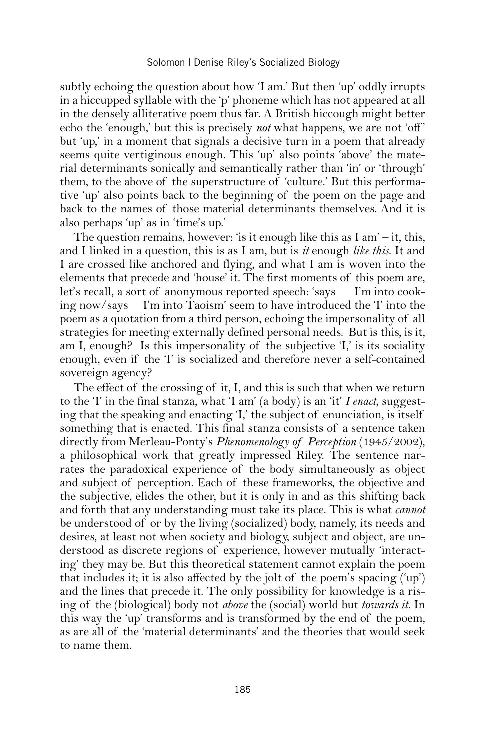subtly echoing the question about how 'I am.' But then 'up' oddly irrupts in a hiccupped syllable with the 'p' phoneme which has not appeared at all in the densely alliterative poem thus far. A British hiccough might better echo the 'enough,' but this is precisely *not* what happens, we are not 'off' but 'up,' in a moment that signals a decisive turn in a poem that already seems quite vertiginous enough. This 'up' also points 'above' the material determinants sonically and semantically rather than 'in' or 'through' them, to the above of the superstructure of 'culture.' But this performative 'up' also points back to the beginning of the poem on the page and back to the names of those material determinants themselves. And it is also perhaps 'up' as in 'time's up.'

The question remains, however: 'is it enough like this as I am'  $-$  it, this, and I linked in a question, this is as I am, but is *it* enough *like this*. It and I are crossed like anchored and flying, and what I am is woven into the elements that precede and 'house' it. The first moments of this poem are, let's recall, a sort of anonymous reported speech: 'says I'm into cooking now/says I'm into Taoism' seem to have introduced the 'I' into the poem as a quotation from a third person, echoing the impersonality of all strategies for meeting externally defined personal needs. But is this, is it, am I, enough? Is this impersonality of the subjective 'I,' is its sociality enough, even if the 'I' is socialized and therefore never a self-contained sovereign agency?

The effect of the crossing of it, I, and this is such that when we return to the 'I' in the final stanza, what 'I am' (a body) is an 'it' *I enact*, suggesting that the speaking and enacting 'I,' the subject of enunciation, is itself something that is enacted. This final stanza consists of a sentence taken directly from Merleau-Ponty's *Phenomenology of Perception* (1945/2002), a philosophical work that greatly impressed Riley. The sentence narrates the paradoxical experience of the body simultaneously as object and subject of perception. Each of these frameworks, the objective and the subjective, elides the other, but it is only in and as this shifting back and forth that any understanding must take its place. This is what *cannot* be understood of or by the living (socialized) body, namely, its needs and desires, at least not when society and biology, subject and object, are understood as discrete regions of experience, however mutually 'interacting' they may be. But this theoretical statement cannot explain the poem that includes it; it is also affected by the jolt of the poem's spacing ('up') and the lines that precede it. The only possibility for knowledge is a rising of the (biological) body not *above* the (social) world but *towards it*. In this way the 'up' transforms and is transformed by the end of the poem, as are all of the 'material determinants' and the theories that would seek to name them.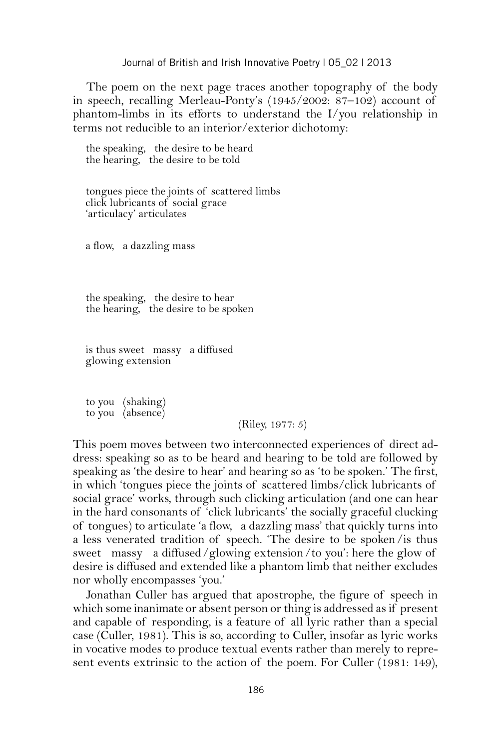Journal of British and Irish Innovative Poetry | 05\_02 | 2013

The poem on the next page traces another topography of the body in speech, recalling Merleau-Ponty's (1945/2002: 87–102) account of phantom-limbs in its efforts to understand the I/you relationship in terms not reducible to an interior/exterior dichotomy:

the speaking, the desire to be heard the hearing, the desire to be told

tongues piece the joints of scattered limbs click lubricants of social grace 'articulacy' articulates

a flow, a dazzling mass

the speaking, the desire to hear the hearing, the desire to be spoken

is thus sweet massy a diffused glowing extension

to you (shaking) to you (absence)

(Riley, 1977: 5)

This poem moves between two interconnected experiences of direct address: speaking so as to be heard and hearing to be told are followed by speaking as 'the desire to hear' and hearing so as 'to be spoken.' The first, in which 'tongues piece the joints of scattered limbs/click lubricants of social grace' works, through such clicking articulation (and one can hear in the hard consonants of 'click lubricants' the socially graceful clucking of tongues) to articulate 'a flow, a dazzling mass' that quickly turns into a less venerated tradition of speech. 'The desire to be spoken/is thus sweet massy a diffused/glowing extension/to you': here the glow of desire is diffused and extended like a phantom limb that neither excludes nor wholly encompasses 'you.'

Jonathan Culler has argued that apostrophe, the figure of speech in which some inanimate or absent person or thing is addressed as if present and capable of responding, is a feature of all lyric rather than a special case (Culler, 1981). This is so, according to Culler, insofar as lyric works in vocative modes to produce textual events rather than merely to represent events extrinsic to the action of the poem. For Culler (1981: 149),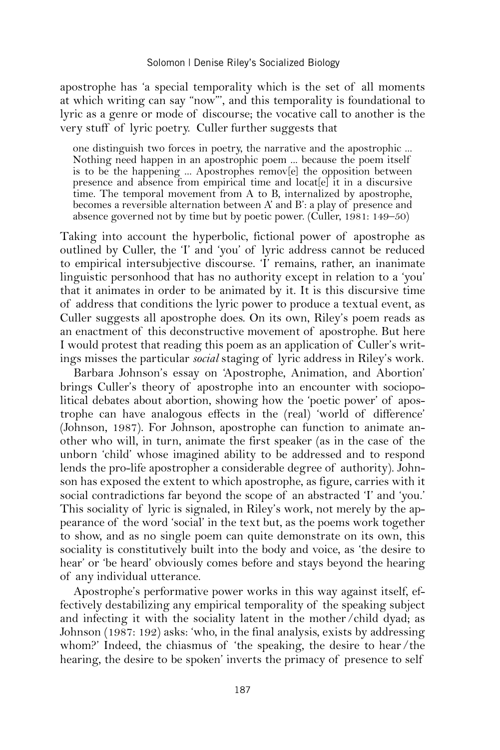apostrophe has 'a special temporality which is the set of all moments at which writing can say "now"', and this temporality is foundational to lyric as a genre or mode of discourse; the vocative call to another is the very stuff of lyric poetry. Culler further suggests that

one distinguish two forces in poetry, the narrative and the apostrophic ... Nothing need happen in an apostrophic poem ... because the poem itself is to be the happening ... Apostrophes remov[e] the opposition between presence and absence from empirical time and locat[e] it in a discursive time. The temporal movement from A to B, internalized by apostrophe, becomes a reversible alternation between A' and B': a play of presence and absence governed not by time but by poetic power. (Culler, 1981: 149–50)

Taking into account the hyperbolic, fictional power of apostrophe as outlined by Culler, the 'I' and 'you' of lyric address cannot be reduced to empirical intersubjective discourse. 'I' remains, rather, an inanimate linguistic personhood that has no authority except in relation to a 'you' that it animates in order to be animated by it. It is this discursive time of address that conditions the lyric power to produce a textual event, as Culler suggests all apostrophe does. On its own, Riley's poem reads as an enactment of this deconstructive movement of apostrophe. But here I would protest that reading this poem as an application of Culler's writings misses the particular *social* staging of lyric address in Riley's work.

Barbara Johnson's essay on 'Apostrophe, Animation, and Abortion' brings Culler's theory of apostrophe into an encounter with sociopolitical debates about abortion, showing how the 'poetic power' of apostrophe can have analogous effects in the (real) 'world of difference' (Johnson, 1987). For Johnson, apostrophe can function to animate another who will, in turn, animate the first speaker (as in the case of the unborn 'child' whose imagined ability to be addressed and to respond lends the pro-life apostropher a considerable degree of authority). Johnson has exposed the extent to which apostrophe, as figure, carries with it social contradictions far beyond the scope of an abstracted 'I' and 'you.' This sociality of lyric is signaled, in Riley's work, not merely by the appearance of the word 'social' in the text but, as the poems work together to show, and as no single poem can quite demonstrate on its own, this sociality is constitutively built into the body and voice, as 'the desire to hear' or 'be heard' obviously comes before and stays beyond the hearing of any individual utterance.

Apostrophe's performative power works in this way against itself, effectively destabilizing any empirical temporality of the speaking subject and infecting it with the sociality latent in the mother /child dyad; as Johnson (1987: 192) asks: 'who, in the final analysis, exists by addressing whom?' Indeed, the chiasmus of 'the speaking, the desire to hear/the hearing, the desire to be spoken' inverts the primacy of presence to self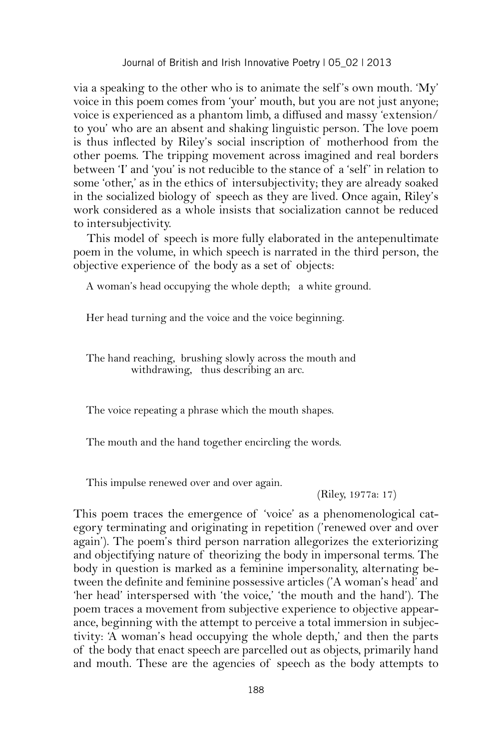Journal of British and Irish Innovative Poetry | 05\_02 | 2013

via a speaking to the other who is to animate the self 's own mouth. 'My' voice in this poem comes from 'your' mouth, but you are not just anyone; voice is experienced as a phantom limb, a diffused and massy 'extension/ to you' who are an absent and shaking linguistic person. The love poem is thus inflected by Riley's social inscription of motherhood from the other poems. The tripping movement across imagined and real borders between 'I' and 'you' is not reducible to the stance of a 'self' in relation to some 'other,' as in the ethics of intersubjectivity; they are already soaked in the socialized biology of speech as they are lived. Once again, Riley's work considered as a whole insists that socialization cannot be reduced to intersubjectivity.

This model of speech is more fully elaborated in the antepenultimate poem in the volume, in which speech is narrated in the third person, the objective experience of the body as a set of objects:

A woman's head occupying the whole depth; a white ground.

Her head turning and the voice and the voice beginning.

The hand reaching, brushing slowly across the mouth and withdrawing, thus describing an arc.

The voice repeating a phrase which the mouth shapes.

The mouth and the hand together encircling the words.

This impulse renewed over and over again.

(Riley, 1977a: 17)

This poem traces the emergence of 'voice' as a phenomenological category terminating and originating in repetition ('renewed over and over again'). The poem's third person narration allegorizes the exteriorizing and objectifying nature of theorizing the body in impersonal terms. The body in question is marked as a feminine impersonality, alternating between the definite and feminine possessive articles ('A woman's head' and 'her head' interspersed with 'the voice,' 'the mouth and the hand'). The poem traces a movement from subjective experience to objective appearance, beginning with the attempt to perceive a total immersion in subjectivity: 'A woman's head occupying the whole depth,' and then the parts of the body that enact speech are parcelled out as objects, primarily hand and mouth. These are the agencies of speech as the body attempts to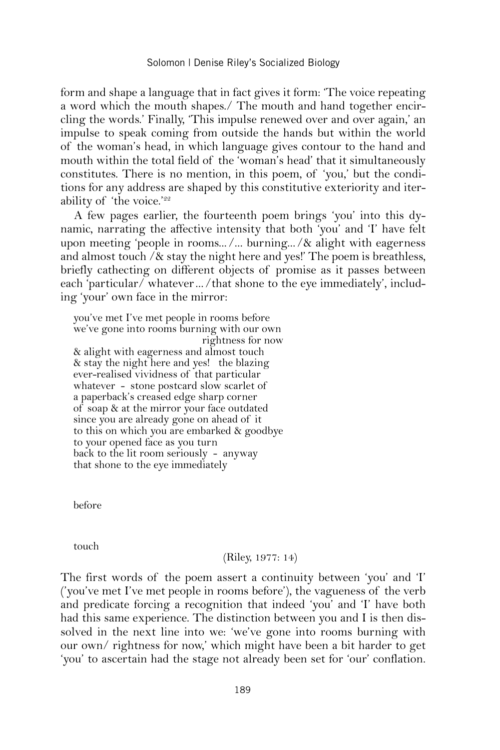form and shape a language that in fact gives it form: 'The voice repeating a word which the mouth shapes./ The mouth and hand together encircling the words.' Finally, 'This impulse renewed over and over again,' an impulse to speak coming from outside the hands but within the world of the woman's head, in which language gives contour to the hand and mouth within the total field of the 'woman's head' that it simultaneously constitutes. There is no mention, in this poem, of 'you,' but the conditions for any address are shaped by this constitutive exteriority and iterability of 'the voice.'<sup>22</sup>

A few pages earlier, the fourteenth poem brings 'you' into this dynamic, narrating the affective intensity that both 'you' and 'I' have felt upon meeting 'people in rooms.../... burning.../& alight with eagerness and almost touch  $\ell$  stay the night here and yes!' The poem is breathless, briefly cathecting on different objects of promise as it passes between each 'particular/ whatever.../that shone to the eye immediately', including 'your' own face in the mirror:

you've met I've met people in rooms before we've gone into rooms burning with our own rightness for now & alight with eagerness and almost touch & stay the night here and yes! the blazing ever-realised vividness of that particular whatever - stone postcard slow scarlet of a paperback's creased edge sharp corner of soap & at the mirror your face outdated since you are already gone on ahead of it to this on which you are embarked & goodbye to your opened face as you turn back to the lit room seriously - anyway that shone to the eye immediately

before

touch

#### (Riley, 1977: 14)

The first words of the poem assert a continuity between 'you' and 'I' ('you've met I've met people in rooms before'), the vagueness of the verb and predicate forcing a recognition that indeed 'you' and 'I' have both had this same experience. The distinction between you and I is then dissolved in the next line into we: 'we've gone into rooms burning with our own/ rightness for now,' which might have been a bit harder to get 'you' to ascertain had the stage not already been set for 'our' conflation.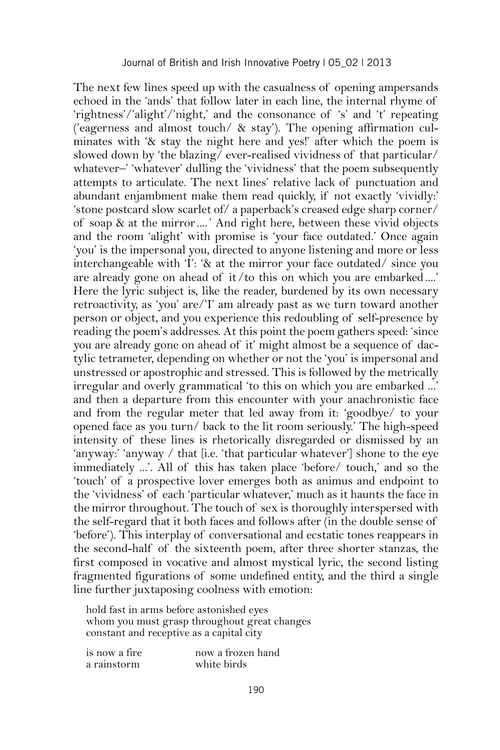The next few lines speed up with the casualness of opening ampersands echoed in the 'ands' that follow later in each line, the internal rhyme of 'rightness'/'alight'/'night,' and the consonance of 's' and 't' repeating ('eagerness and almost touch  $\&$  stay'). The opening affirmation culminates with '& stay the night here and yes!' after which the poem is slowed down by 'the blazing/ ever-realised vividness of that particular/ whatever–' 'whatever' dulling the 'vividness' that the poem subsequently attempts to articulate. The next lines' relative lack of punctuation and abundant enjambment make them read quickly, if not exactly 'vividly:' 'stone postcard slow scarlet of/ a paperback's creased edge sharp corner/ of soap & at the mirror.... ' And right here, between these vivid objects and the room 'alight' with promise is 'your face outdated.' Once again 'you' is the impersonal you, directed to anyone listening and more or less interchangeable with 'I': '& at the mirror your face outdated/ since you are already gone on ahead of it /to this on which you are embarked....' Here the lyric subject is, like the reader, burdened by its own necessary retroactivity, as 'you' are/'I' am already past as we turn toward another person or object, and you experience this redoubling of self-presence by reading the poem's addresses. At this point the poem gathers speed: 'since you are already gone on ahead of it' might almost be a sequence of dactylic tetrameter, depending on whether or not the 'you' is impersonal and unstressed or apostrophic and stressed. This is followed by the metrically irregular and overly grammatical 'to this on which you are embarked ...' and then a departure from this encounter with your anachronistic face and from the regular meter that led away from it: 'goodbye/ to your opened face as you turn/ back to the lit room seriously.' The high-speed intensity of these lines is rhetorically disregarded or dismissed by an 'anyway:' 'anyway / that [i.e. 'that particular whatever'] shone to the eye immediately ...'. All of this has taken place 'before/ touch,' and so the 'touch' of a prospective lover emerges both as animus and endpoint to the 'vividness' of each 'particular whatever,' much as it haunts the face in the mirror throughout. The touch of sex is thoroughly interspersed with the self-regard that it both faces and follows after (in the double sense of 'before'). This interplay of conversational and ecstatic tones reappears in the second-half of the sixteenth poem, after three shorter stanzas, the first composed in vocative and almost mystical lyric, the second listing fragmented figurations of some undefined entity, and the third a single line further juxtaposing coolness with emotion:

hold fast in arms before astonished eyes whom you must grasp throughout great changes constant and receptive as a capital city

| is now a fire | now a frozen hand |
|---------------|-------------------|
| a rainstorm   | white birds       |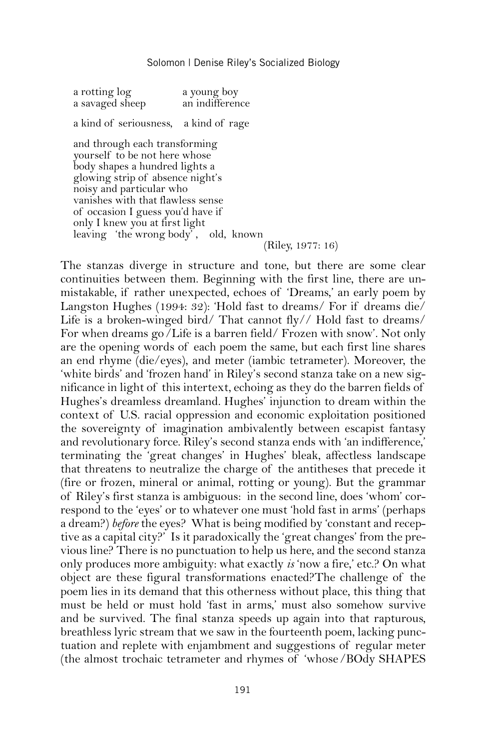a rotting log a young boy<br>a savaged sheep an indifference a savaged sheep a kind of seriousness, a kind of rage and through each transforming yourself to be not here whose body shapes a hundred lights a glowing strip of absence night's noisy and particular who vanishes with that flawless sense of occasion I guess you'd have if only I knew you at first light leaving 'the wrong body', old, known (Riley, 1977: 16)

The stanzas diverge in structure and tone, but there are some clear continuities between them. Beginning with the first line, there are unmistakable, if rather unexpected, echoes of 'Dreams,' an early poem by Langston Hughes (1994: 32): 'Hold fast to dreams/ For if dreams die/ Life is a broken-winged bird/ That cannot fly// Hold fast to dreams/ For when dreams go /Life is a barren field/ Frozen with snow'. Not only are the opening words of each poem the same, but each first line shares an end rhyme (die/eyes), and meter (iambic tetrameter). Moreover, the 'white birds' and 'frozen hand' in Riley's second stanza take on a new significance in light of this intertext, echoing as they do the barren fields of Hughes's dreamless dreamland. Hughes' injunction to dream within the context of U.S. racial oppression and economic exploitation positioned the sovereignty of imagination ambivalently between escapist fantasy and revolutionary force. Riley's second stanza ends with 'an indifference,' terminating the 'great changes' in Hughes' bleak, affectless landscape that threatens to neutralize the charge of the antitheses that precede it (fire or frozen, mineral or animal, rotting or young). But the grammar of Riley's first stanza is ambiguous: in the second line, does 'whom' correspond to the 'eyes' or to whatever one must 'hold fast in arms' (perhaps a dream?) *before* the eyes? What is being modified by 'constant and receptive as a capital city?' Is it paradoxically the 'great changes' from the previous line? There is no punctuation to help us here, and the second stanza only produces more ambiguity: what exactly *is* 'now a fire,' etc.? On what object are these figural transformations enacted?The challenge of the poem lies in its demand that this otherness without place, this thing that must be held or must hold 'fast in arms,' must also somehow survive and be survived. The final stanza speeds up again into that rapturous, breathless lyric stream that we saw in the fourteenth poem, lacking punctuation and replete with enjambment and suggestions of regular meter (the almost trochaic tetrameter and rhymes of 'whose /BOdy SHAPES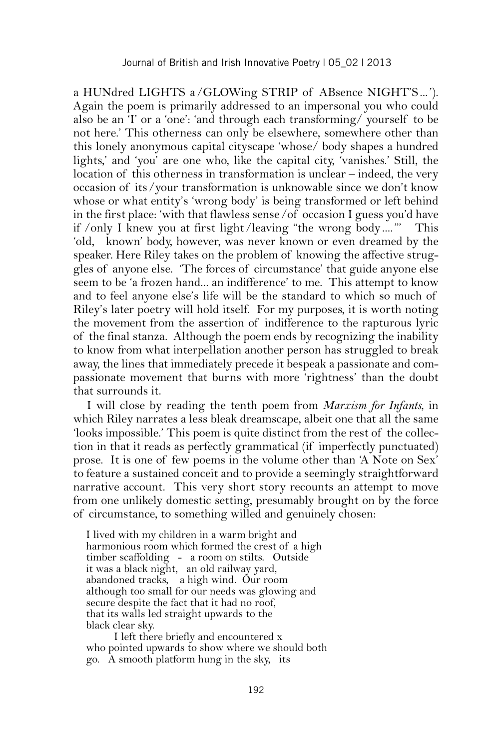a HUNdred LIGHTS a/GLOWing STRIP of ABsence NIGHT'S... '). Again the poem is primarily addressed to an impersonal you who could also be an 'I' or a 'one': 'and through each transforming/ yourself to be not here.' This otherness can only be elsewhere, somewhere other than this lonely anonymous capital cityscape 'whose/ body shapes a hundred lights,' and 'you' are one who, like the capital city, 'vanishes.' Still, the location of this otherness in transformation is unclear – indeed, the very occasion of its /your transformation is unknowable since we don't know whose or what entity's 'wrong body' is being transformed or left behind in the first place: 'with that flawless sense /of occasion I guess you'd have if /only I knew you at first light/leaving "the wrong body...."' This 'old, known' body, however, was never known or even dreamed by the speaker. Here Riley takes on the problem of knowing the affective struggles of anyone else. 'The forces of circumstance' that guide anyone else seem to be 'a frozen hand... an indifference' to me. This attempt to know and to feel anyone else's life will be the standard to which so much of Riley's later poetry will hold itself. For my purposes, it is worth noting the movement from the assertion of indifference to the rapturous lyric of the final stanza. Although the poem ends by recognizing the inability to know from what interpellation another person has struggled to break away, the lines that immediately precede it bespeak a passionate and compassionate movement that burns with more 'rightness' than the doubt that surrounds it.

I will close by reading the tenth poem from *Marxism for Infants*, in which Riley narrates a less bleak dreamscape, albeit one that all the same 'looks impossible.' This poem is quite distinct from the rest of the collection in that it reads as perfectly grammatical (if imperfectly punctuated) prose. It is one of few poems in the volume other than 'A Note on Sex' to feature a sustained conceit and to provide a seemingly straightforward narrative account. This very short story recounts an attempt to move from one unlikely domestic setting, presumably brought on by the force of circumstance, to something willed and genuinely chosen:

I lived with my children in a warm bright and harmonious room which formed the crest of a high timber scaffolding - a room on stilts. Outside it was a black night, an old railway yard, abandoned tracks, a high wind. Our room although too small for our needs was glowing and secure despite the fact that it had no roof, that its walls led straight upwards to the black clear sky.

I left there briefly and encountered x who pointed upwards to show where we should both go. A smooth platform hung in the sky, its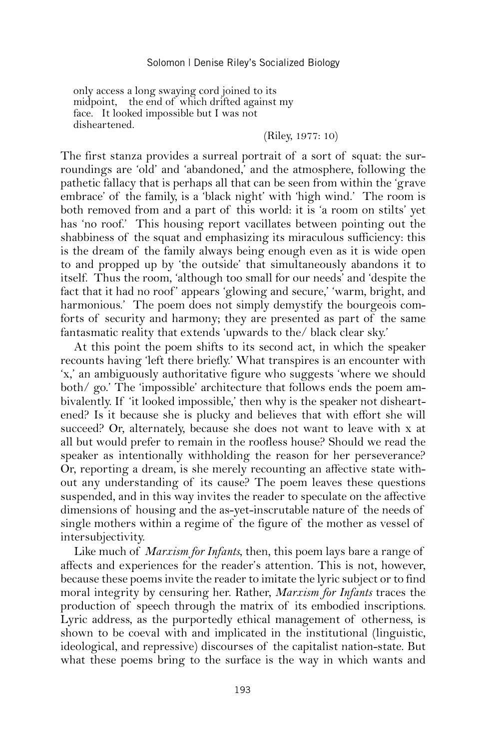only access a long swaying cord joined to its midpoint, the end of which drifted against my face. It looked impossible but I was not disheartened.

#### (Riley, 1977: 10)

The first stanza provides a surreal portrait of a sort of squat: the surroundings are 'old' and 'abandoned,' and the atmosphere, following the pathetic fallacy that is perhaps all that can be seen from within the 'grave embrace' of the family, is a 'black night' with 'high wind.' The room is both removed from and a part of this world: it is 'a room on stilts' yet has 'no roof.' This housing report vacillates between pointing out the shabbiness of the squat and emphasizing its miraculous sufficiency: this is the dream of the family always being enough even as it is wide open to and propped up by 'the outside' that simultaneously abandons it to itself. Thus the room, 'although too small for our needs' and 'despite the fact that it had no roof' appears 'glowing and secure,' 'warm, bright, and harmonious.' The poem does not simply demystify the bourgeois comforts of security and harmony; they are presented as part of the same fantasmatic reality that extends 'upwards to the/ black clear sky.'

At this point the poem shifts to its second act, in which the speaker recounts having 'left there briefly.' What transpires is an encounter with 'x,' an ambiguously authoritative figure who suggests 'where we should both/ go.' The 'impossible' architecture that follows ends the poem ambivalently. If 'it looked impossible,' then why is the speaker not disheartened? Is it because she is plucky and believes that with effort she will succeed? Or, alternately, because she does not want to leave with x at all but would prefer to remain in the roofless house? Should we read the speaker as intentionally withholding the reason for her perseverance? Or, reporting a dream, is she merely recounting an affective state without any understanding of its cause? The poem leaves these questions suspended, and in this way invites the reader to speculate on the affective dimensions of housing and the as-yet-inscrutable nature of the needs of single mothers within a regime of the figure of the mother as vessel of intersubjectivity.

Like much of *Marxism for Infants*, then, this poem lays bare a range of affects and experiences for the reader's attention. This is not, however, because these poems invite the reader to imitate the lyric subject or to find moral integrity by censuring her. Rather, *Marxism for Infants* traces the production of speech through the matrix of its embodied inscriptions. Lyric address, as the purportedly ethical management of otherness, is shown to be coeval with and implicated in the institutional (linguistic, ideological, and repressive) discourses of the capitalist nation-state. But what these poems bring to the surface is the way in which wants and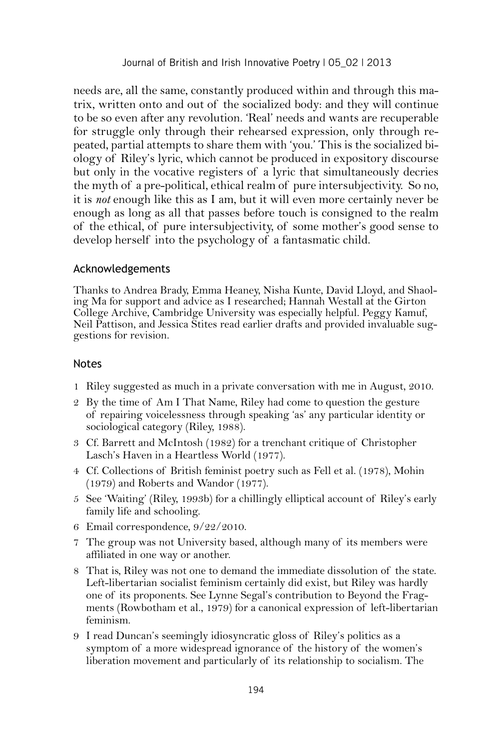needs are, all the same, constantly produced within and through this matrix, written onto and out of the socialized body: and they will continue to be so even after any revolution. 'Real' needs and wants are recuperable for struggle only through their rehearsed expression, only through repeated, partial attempts to share them with 'you.' This is the socialized biology of Riley's lyric, which cannot be produced in expository discourse but only in the vocative registers of a lyric that simultaneously decries the myth of a pre-political, ethical realm of pure intersubjectivity. So no, it is *not* enough like this as I am, but it will even more certainly never be enough as long as all that passes before touch is consigned to the realm of the ethical, of pure intersubjectivity, of some mother's good sense to develop herself into the psychology of a fantasmatic child.

#### Acknowledgements

Thanks to Andrea Brady, Emma Heaney, Nisha Kunte, David Lloyd, and Shaoling Ma for support and advice as I researched; Hannah Westall at the Girton College Archive, Cambridge University was especially helpful. Peggy Kamuf, Neil Pattison, and Jessica Stites read earlier drafts and provided invaluable suggestions for revision.

#### **Notes**

- 1 Riley suggested as much in a private conversation with me in August, 2010.
- 2 By the time of Am I That Name, Riley had come to question the gesture of repairing voicelessness through speaking 'as' any particular identity or sociological category (Riley, 1988).
- 3 Cf. Barrett and McIntosh (1982) for a trenchant critique of Christopher Lasch's Haven in a Heartless World (1977).
- 4 Cf. Collections of British feminist poetry such as Fell et al. (1978), Mohin (1979) and Roberts and Wandor (1977).
- 5 See 'Waiting' (Riley, 1993b) for a chillingly elliptical account of Riley's early family life and schooling.
- 6 Email correspondence, 9/22/2010.
- 7 The group was not University based, although many of its members were affiliated in one way or another.
- 8 That is, Riley was not one to demand the immediate dissolution of the state. Left-libertarian socialist feminism certainly did exist, but Riley was hardly one of its proponents. See Lynne Segal's contribution to Beyond the Fragments (Rowbotham et al., 1979) for a canonical expression of left-libertarian feminism.
- 9 I read Duncan's seemingly idiosyncratic gloss of Riley's politics as a symptom of a more widespread ignorance of the history of the women's liberation movement and particularly of its relationship to socialism. The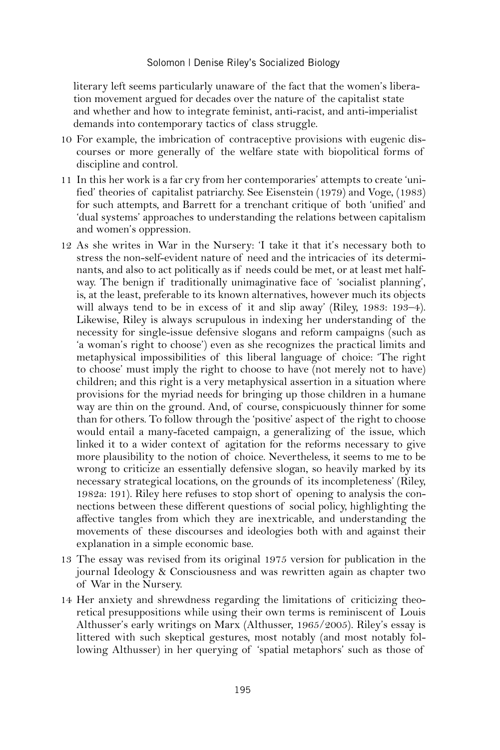literary left seems particularly unaware of the fact that the women's liberation movement argued for decades over the nature of the capitalist state and whether and how to integrate feminist, anti-racist, and anti-imperialist demands into contemporary tactics of class struggle.

- 10 For example, the imbrication of contraceptive provisions with eugenic discourses or more generally of the welfare state with biopolitical forms of discipline and control.
- 11 In this her work is a far cry from her contemporaries' attempts to create 'unified' theories of capitalist patriarchy. See Eisenstein (1979) and Voge, (1983) for such attempts, and Barrett for a trenchant critique of both 'unified' and 'dual systems' approaches to understanding the relations between capitalism and women's oppression.
- 12 As she writes in War in the Nursery: 'I take it that it's necessary both to stress the non-self-evident nature of need and the intricacies of its determinants, and also to act politically as if needs could be met, or at least met halfway. The benign if traditionally unimaginative face of 'socialist planning', is, at the least, preferable to its known alternatives, however much its objects will always tend to be in excess of it and slip away' (Riley, 1983: 193–4). Likewise, Riley is always scrupulous in indexing her understanding of the necessity for single-issue defensive slogans and reform campaigns (such as 'a woman's right to choose') even as she recognizes the practical limits and metaphysical impossibilities of this liberal language of choice: 'The right to choose' must imply the right to choose to have (not merely not to have) children; and this right is a very metaphysical assertion in a situation where provisions for the myriad needs for bringing up those children in a humane way are thin on the ground. And, of course, conspicuously thinner for some than for others. To follow through the 'positive' aspect of the right to choose would entail a many-faceted campaign, a generalizing of the issue, which linked it to a wider context of agitation for the reforms necessary to give more plausibility to the notion of choice. Nevertheless, it seems to me to be wrong to criticize an essentially defensive slogan, so heavily marked by its necessary strategical locations, on the grounds of its incompleteness' (Riley, 1982a: 191). Riley here refuses to stop short of opening to analysis the connections between these different questions of social policy, highlighting the affective tangles from which they are inextricable, and understanding the movements of these discourses and ideologies both with and against their explanation in a simple economic base.
- 13 The essay was revised from its original 1975 version for publication in the journal Ideology & Consciousness and was rewritten again as chapter two of War in the Nursery.
- 14 Her anxiety and shrewdness regarding the limitations of criticizing theoretical presuppositions while using their own terms is reminiscent of Louis Althusser's early writings on Marx (Althusser, 1965/2005). Riley's essay is littered with such skeptical gestures, most notably (and most notably following Althusser) in her querying of 'spatial metaphors' such as those of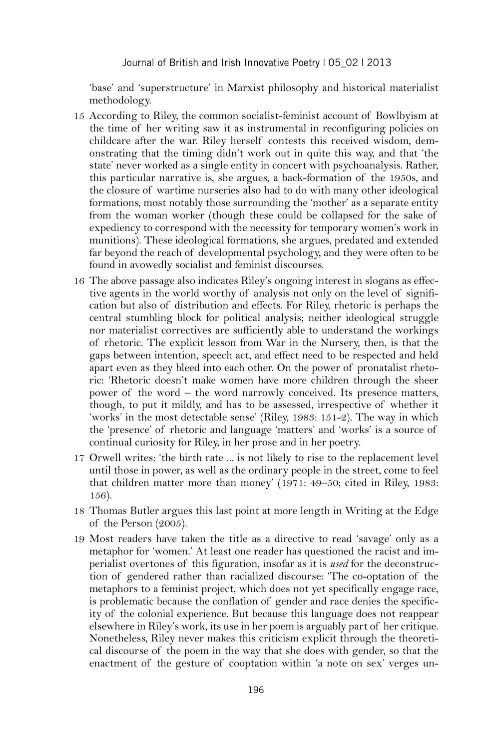'base' and 'superstructure' in Marxist philosophy and historical materialist methodology.

- 15 According to Riley, the common socialist-feminist account of Bowlbyism at the time of her writing saw it as instrumental in reconfiguring policies on childcare after the war. Riley herself contests this received wisdom, demonstrating that the timing didn't work out in quite this way, and that 'the state' never worked as a single entity in concert with psychoanalysis. Rather, this particular narrative is, she argues, a back-formation of the 1950s, and the closure of wartime nurseries also had to do with many other ideological formations, most notably those surrounding the 'mother' as a separate entity from the woman worker (though these could be collapsed for the sake of expediency to correspond with the necessity for temporary women's work in munitions). These ideological formations, she argues, predated and extended far beyond the reach of developmental psychology, and they were often to be found in avowedly socialist and feminist discourses.
- 16 The above passage also indicates Riley's ongoing interest in slogans as effective agents in the world worthy of analysis not only on the level of signification but also of distribution and effects. For Riley, rhetoric is perhaps the central stumbling block for political analysis; neither ideological struggle nor materialist correctives are sufficiently able to understand the workings of rhetoric. The explicit lesson from War in the Nursery, then, is that the gaps between intention, speech act, and effect need to be respected and held apart even as they bleed into each other. On the power of pronatalist rhetoric: 'Rhetoric doesn't make women have more children through the sheer power of the word – the word narrowly conceived. Its presence matters, though, to put it mildly, and has to be assessed, irrespective of whether it 'works' in the most detectable sense' (Riley, 1983: 151-2). The way in which the 'presence' of rhetoric and language 'matters' and 'works' is a source of continual curiosity for Riley, in her prose and in her poetry.
- 17 Orwell writes: 'the birth rate ... is not likely to rise to the replacement level until those in power, as well as the ordinary people in the street, come to feel that children matter more than money' (1971: 49–50; cited in Riley, 1983: 156).
- 18 Thomas Butler argues this last point at more length in Writing at the Edge of the Person (2005).
- 19 Most readers have taken the title as a directive to read 'savage' only as a metaphor for 'women.' At least one reader has questioned the racist and imperialist overtones of this figuration, insofar as it is *used* for the deconstruction of gendered rather than racialized discourse: 'The co-optation of the metaphors to a feminist project, which does not yet specifically engage race, is problematic because the conflation of gender and race denies the specificity of the colonial experience. But because this language does not reappear elsewhere in Riley's work, its use in her poem is arguably part of her critique. Nonetheless, Riley never makes this criticism explicit through the theoretical discourse of the poem in the way that she does with gender, so that the enactment of the gesture of cooptation within 'a note on sex' verges un-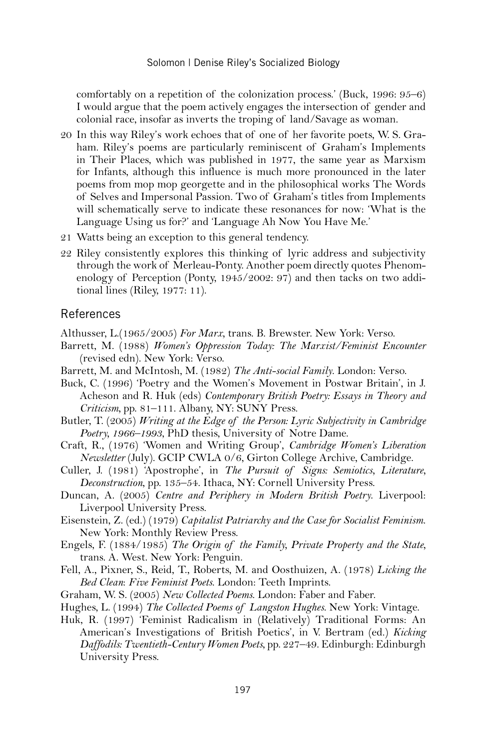comfortably on a repetition of the colonization process.' (Buck, 1996: 95–6) I would argue that the poem actively engages the intersection of gender and colonial race, insofar as inverts the troping of land/Savage as woman.

- 20 In this way Riley's work echoes that of one of her favorite poets, W. S. Graham. Riley's poems are particularly reminiscent of Graham's Implements in Their Places, which was published in 1977, the same year as Marxism for Infants, although this influence is much more pronounced in the later poems from mop mop georgette and in the philosophical works The Words of Selves and Impersonal Passion. Two of Graham's titles from Implements will schematically serve to indicate these resonances for now: 'What is the Language Using us for?' and 'Language Ah Now You Have Me.'
- 21 Watts being an exception to this general tendency.
- 22 Riley consistently explores this thinking of lyric address and subjectivity through the work of Merleau-Ponty. Another poem directly quotes Phenomenology of Perception (Ponty, 1945/2002: 97) and then tacks on two additional lines (Riley, 1977: 11).

#### References

Althusser, L.(1965/2005) *For Marx,* trans. B. Brewster. New York: Verso.

- Barrett, M. (1988) *Women's Oppression Today: The Marxist/Feminist Encounter*  (revised edn). New York: Verso.
- Barrett, M. and McIntosh, M. (1982) *The Anti-social Family*. London: Verso.
- Buck, C. (1996) 'Poetry and the Women's Movement in Postwar Britain', in J. Acheson and R. Huk (eds) *Contemporary British Poetry: Essays in Theory and Criticism,* pp. 81–111. Albany, NY: SUNY Press.
- Butler, T. (2005) *Writing at the Edge of the Person: Lyric Subjectivity in Cambridge Poetry, 1966–1993*, PhD thesis, University of Notre Dame.
- Craft, R., (1976) 'Women and Writing Group', *Cambridge Women's Liberation Newsletter* (July). GCIP CWLA 0/6, Girton College Archive, Cambridge.
- Culler, J. (1981) 'Apostrophe', in *The Pursuit of Signs: Semiotics, Literature, Deconstruction*, pp. 135–54. Ithaca, NY: Cornell University Press.
- Duncan, A. (2005) *Centre and Periphery in Modern British Poetry*. Liverpool: Liverpool University Press.
- Eisenstein, Z. (ed.) (1979) *Capitalist Patriarchy and the Case for Socialist Feminism*. New York: Monthly Review Press.
- Engels, F. (1884/1985) *The Origin of the Family, Private Property and the State,* trans. A. West. New York: Penguin.
- Fell, A., Pixner, S., Reid, T., Roberts, M. and Oosthuizen, A. (1978) *Licking the Bed Clean*: *Five Feminist Poets*. London: Teeth Imprints.
- Graham, W. S. (2005) *New Collected Poems*. London: Faber and Faber.
- Hughes, L. (1994) *The Collected Poems of Langston Hughes*. New York: Vintage.
- Huk, R. (1997) 'Feminist Radicalism in (Relatively) Traditional Forms: An American's Investigations of British Poetics', in V. Bertram (ed.) *Kicking Daffodils: Twentieth-Century Women Poets*, pp. 227–49. Edinburgh: Edinburgh University Press.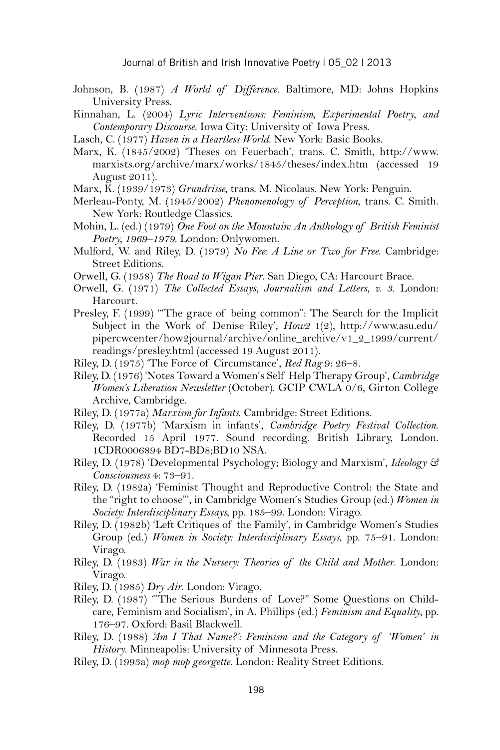Journal of British and Irish Innovative Poetry | 05\_02 | 2013

- Johnson, B. (1987) *A World of Difference*. Baltimore, MD: Johns Hopkins University Press.
- Kinnahan, L. (2004) *Lyric Interventions: Feminism, Experimental Poetry, and Contemporary Discourse*. Iowa City: University of Iowa Press.
- Lasch, C. (1977) *Haven in a Heartless World*. New York: Basic Books.
- Marx, K. (1845/2002) 'Theses on Feuerbach', trans. C. Smith, http://www. marxists.org/archive/marx/works/1845/theses/index.htm (accessed 19 August 2011).
- Marx, K. (1939/1973) *Grundrisse*, trans. M. Nicolaus. New York: Penguin.
- Merleau-Ponty, M. (1945/2002) *Phenomenology of Perception*, trans. C. Smith. New York: Routledge Classics.
- Mohin, L. (ed.) (1979) *One Foot on the Mountain: An Anthology of British Feminist Poetry, 1969–1979*. London: Onlywomen.
- Mulford, W. and Riley, D. (1979) *No Fee: A Line or Two for Free*. Cambridge: Street Editions.
- Orwell, G. (1958) *The Road to Wigan Pier*. San Diego, CA: Harcourt Brace.
- Orwell, G. (1971) *The Collected Essays, Journalism and Letters, v. 3*. London: Harcourt.
- Presley, F. (1999) "The grace of being common": The Search for the Implicit Subject in the Work of Denise Riley', *How2* 1(2), http://www.asu.edu/ pipercwcenter/how2journal/archive/online\_archive/v1\_2\_1999/current/ readings/presley.html (accessed 19 August 2011).
- Riley, D. (1975) 'The Force of Circumstance', *Red Rag* 9: 26–8.
- Riley, D. (1976) 'Notes Toward a Women's Self Help Therapy Group', *Cambridge Women's Liberation Newsletter* (October). GCIP CWLA 0/6, Girton College Archive, Cambridge.
- Riley, D. (1977a) *Marxism for Infants*. Cambridge: Street Editions.
- Riley, D. (1977b) 'Marxism in infants', *Cambridge Poetry Festival Collection*. Recorded 15 April 1977. Sound recording. British Library, London. 1CDR0006894 BD7-BD8;BD10 NSA.
- Riley, D. (1978) 'Developmental Psychology; Biology and Marxism', *Ideology & Consciousness* 4: 73–91.
- Riley, D. (1982a) 'Feminist Thought and Reproductive Control: the State and the "right to choose"', in Cambridge Women's Studies Group (ed.) *Women in Society: Interdisciplinary Essays*, pp. 185–99. London: Virago.
- Riley, D. (1982b) 'Left Critiques of the Family', in Cambridge Women's Studies Group (ed.) *Women in Society: Interdisciplinary Essays*, pp. 75–91. London: Virago.
- Riley, D. (1983) *War in the Nursery: Theories of the Child and Mother*. London: Virago.
- Riley, D. (1985) *Dry Air*. London: Virago.
- Riley, D. (1987) '"The Serious Burdens of Love?" Some Questions on Childcare, Feminism and Socialism', in A. Phillips (ed.) *Feminism and Equality*, pp. 176–97. Oxford: Basil Blackwell.
- Riley, D. (1988) *'Am I That Name?': Feminism and the Category of 'Women' in History*. Minneapolis: University of Minnesota Press.
- Riley, D. (1993a) *mop mop georgette*. London: Reality Street Editions.